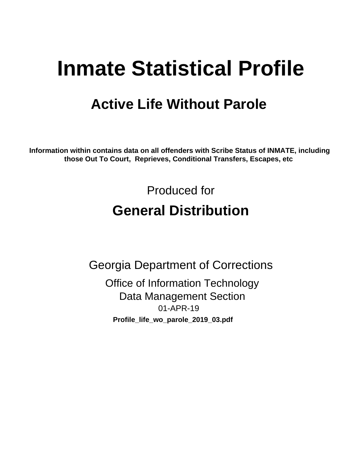# **Inmate Statistical Profile**

## **Active Life Without Parole**

Information within contains data on all offenders with Scribe Status of INMATE, including those Out To Court, Reprieves, Conditional Transfers, Escapes, etc

> Produced for **General Distribution**

**Georgia Department of Corrections Office of Information Technology Data Management Section** 01-APR-19 Profile\_life\_wo\_parole\_2019\_03.pdf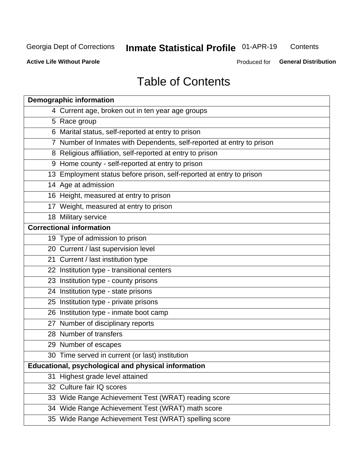## **Inmate Statistical Profile 01-APR-19**

Contents

**Active Life Without Parole** 

Produced for General Distribution

## **Table of Contents**

|    | <b>Demographic information</b>                                        |
|----|-----------------------------------------------------------------------|
|    | 4 Current age, broken out in ten year age groups                      |
|    | 5 Race group                                                          |
|    | 6 Marital status, self-reported at entry to prison                    |
|    | 7 Number of Inmates with Dependents, self-reported at entry to prison |
|    | 8 Religious affiliation, self-reported at entry to prison             |
|    | 9 Home county - self-reported at entry to prison                      |
|    | 13 Employment status before prison, self-reported at entry to prison  |
|    | 14 Age at admission                                                   |
|    | 16 Height, measured at entry to prison                                |
|    | 17 Weight, measured at entry to prison                                |
|    | 18 Military service                                                   |
|    | <b>Correctional information</b>                                       |
|    | 19 Type of admission to prison                                        |
|    | 20 Current / last supervision level                                   |
|    | 21 Current / last institution type                                    |
|    | 22 Institution type - transitional centers                            |
|    | 23 Institution type - county prisons                                  |
|    | 24 Institution type - state prisons                                   |
|    | 25 Institution type - private prisons                                 |
|    | 26 Institution type - inmate boot camp                                |
|    | 27 Number of disciplinary reports                                     |
|    | 28 Number of transfers                                                |
|    | 29 Number of escapes                                                  |
|    | 30 Time served in current (or last) institution                       |
|    | Educational, psychological and physical information                   |
| 31 | Highest grade level attained                                          |
|    | 32 Culture fair IQ scores                                             |
|    | 33 Wide Range Achievement Test (WRAT) reading score                   |
|    | 34 Wide Range Achievement Test (WRAT) math score                      |
|    | 35 Wide Range Achievement Test (WRAT) spelling score                  |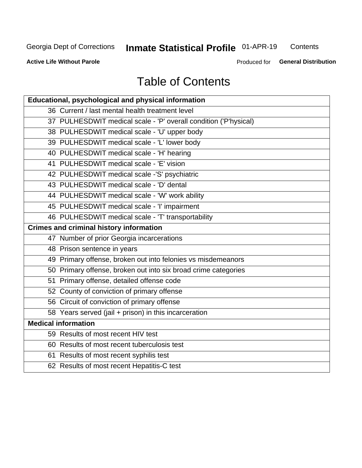## **Inmate Statistical Profile 01-APR-19**

Contents

**Active Life Without Parole** 

Produced for General Distribution

## **Table of Contents**

| Educational, psychological and physical information              |
|------------------------------------------------------------------|
| 36 Current / last mental health treatment level                  |
| 37 PULHESDWIT medical scale - 'P' overall condition ('P'hysical) |
| 38 PULHESDWIT medical scale - 'U' upper body                     |
| 39 PULHESDWIT medical scale - 'L' lower body                     |
| 40 PULHESDWIT medical scale - 'H' hearing                        |
| 41 PULHESDWIT medical scale - 'E' vision                         |
| 42 PULHESDWIT medical scale -'S' psychiatric                     |
| 43 PULHESDWIT medical scale - 'D' dental                         |
| 44 PULHESDWIT medical scale - 'W' work ability                   |
| 45 PULHESDWIT medical scale - 'I' impairment                     |
| 46 PULHESDWIT medical scale - 'T' transportability               |
| <b>Crimes and criminal history information</b>                   |
| 47 Number of prior Georgia incarcerations                        |
| 48 Prison sentence in years                                      |
| 49 Primary offense, broken out into felonies vs misdemeanors     |
| 50 Primary offense, broken out into six broad crime categories   |
| 51 Primary offense, detailed offense code                        |
| 52 County of conviction of primary offense                       |
| 56 Circuit of conviction of primary offense                      |
| 58 Years served (jail + prison) in this incarceration            |
| <b>Medical information</b>                                       |
| 59 Results of most recent HIV test                               |
| 60 Results of most recent tuberculosis test                      |
| 61 Results of most recent syphilis test                          |
| 62 Results of most recent Hepatitis-C test                       |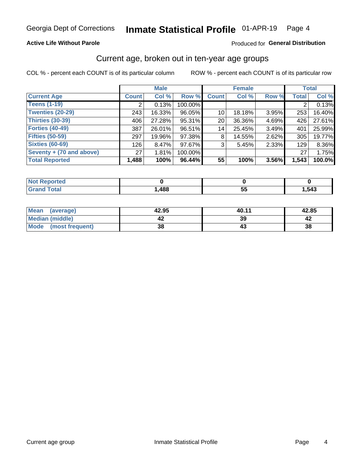### **Active Life Without Parole**

### Produced for General Distribution

### Current age, broken out in ten-year age groups

COL % - percent each COUNT is of its particular column

|                          |              | <b>Male</b> |         |                 | <b>Female</b> |          |              | <b>Total</b> |
|--------------------------|--------------|-------------|---------|-----------------|---------------|----------|--------------|--------------|
| <b>Current Age</b>       | <b>Count</b> | Col %       | Row %   | <b>Count</b>    | Col %         | Row %    | <b>Total</b> | Col %        |
| <b>Teens (1-19)</b>      |              | 0.13%       | 100.00% |                 |               |          |              | 0.13%        |
| <b>Twenties (20-29)</b>  | 243          | 16.33%      | 96.05%  | 10 <sup>1</sup> | 18.18%        | 3.95%    | 253          | 16.40%       |
| Thirties (30-39)         | 406          | 27.28%      | 95.31%  | 20 <sub>1</sub> | 36.36%        | 4.69%    | 426          | 27.61%       |
| <b>Forties (40-49)</b>   | 387          | 26.01%      | 96.51%  | 14              | 25.45%        | 3.49%    | 401          | 25.99%       |
| <b>Fifties (50-59)</b>   | 297          | 19.96%      | 97.38%  | 8               | 14.55%        | $2.62\%$ | 305          | 19.77%       |
| <b>Sixties (60-69)</b>   | 126          | 8.47%       | 97.67%  | 3               | 5.45%         | 2.33%    | 129          | 8.36%        |
| Seventy + (70 and above) | 27           | 1.81%       | 100.00% |                 |               |          | 27           | 1.75%        |
| <b>Total Reported</b>    | 1,488        | 100%        | 96.44%  | 55              | 100%          | 3.56%    | 1,543        | 100.0%       |

| المستحققات<br>m.      |      |         |      |
|-----------------------|------|---------|------|
| $f \wedge f \wedge f$ | ,488 | --<br>v | ,543 |

| <b>Mean</b><br>(average) | 42.95 | 40.11 | 42.85 |
|--------------------------|-------|-------|-------|
| Median (middle)          |       | 39    |       |
| Mode<br>(most frequent)  | 38    |       | 38    |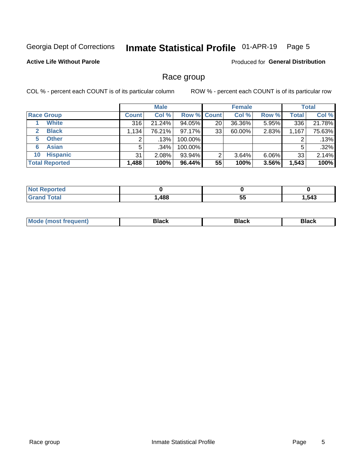#### Inmate Statistical Profile 01-APR-19 Page 5

### **Active Life Without Parole**

Produced for General Distribution

### Race group

COL % - percent each COUNT is of its particular column

|                              | <b>Male</b>  |         |             | <b>Female</b> |        |       | <b>Total</b> |        |
|------------------------------|--------------|---------|-------------|---------------|--------|-------|--------------|--------|
| <b>Race Group</b>            | <b>Count</b> | Col %   | Row % Count |               | Col %  | Row % | <b>Total</b> | Col %  |
| <b>White</b>                 | 316          | 21.24%  | 94.05%      | 20            | 36.36% | 5.95% | 336          | 21.78% |
| <b>Black</b><br>$\mathbf{2}$ | 1,134        | 76.21%  | $97.17\%$   | 33            | 60.00% | 2.83% | 1,167        | 75.63% |
| <b>Other</b><br>5.           | ◠            | .13%    | 100.00%     |               |        |       | 2            | .13%   |
| <b>Asian</b><br>6            | 5            | $.34\%$ | 100.00%     |               |        |       | 5            | .32%   |
| <b>Hispanic</b><br>10        | 31           | 2.08%   | 93.94%      | 2             | 3.64%  | 6.06% | 33           | 2.14%  |
| <b>Total Reported</b>        | 1,488        | 100%    | $96.44\%$   | 55            | 100%   | 3.56% | 1,543        | 100%   |

| rteo<br>N            |      |           |     |
|----------------------|------|-----------|-----|
| $C = 4 - 7$<br>_____ | ,488 | --<br>ູບປ | 543 |

| маст |  | M |  |  |  |
|------|--|---|--|--|--|
|------|--|---|--|--|--|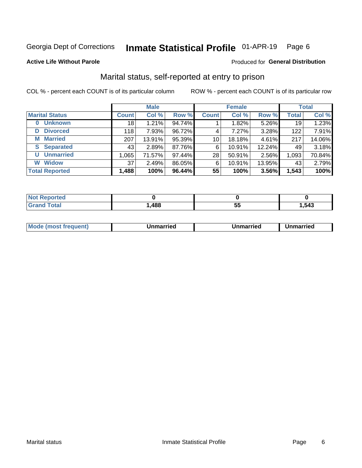#### Inmate Statistical Profile 01-APR-19 Page 6

#### **Active Life Without Parole**

### Produced for General Distribution

## Marital status, self-reported at entry to prison

COL % - percent each COUNT is of its particular column

|                            | <b>Male</b>     |        |        | <b>Female</b>   |        |          | <b>Total</b> |        |
|----------------------------|-----------------|--------|--------|-----------------|--------|----------|--------------|--------|
| <b>Marital Status</b>      | <b>Count</b>    | Col %  | Row %  | <b>Count</b>    | Col %  | Row %    | <b>Total</b> | Col %  |
| <b>Unknown</b><br>$\bf{0}$ | 18 <sub>1</sub> | 1.21%  | 94.74% |                 | 1.82%  | 5.26%    | 19           | 1.23%  |
| <b>Divorced</b><br>D       | 118             | 7.93%  | 96.72% | 4               | 7.27%  | 3.28%    | 122          | 7.91%  |
| <b>Married</b><br>M        | 207             | 13.91% | 95.39% | 10 <sup>1</sup> | 18.18% | 4.61%    | 217          | 14.06% |
| <b>Separated</b><br>S.     | 43              | 2.89%  | 87.76% | 6               | 10.91% | 12.24%   | 49           | 3.18%  |
| <b>Unmarried</b><br>U      | 1,065           | 71.57% | 97.44% | 28              | 50.91% | $2.56\%$ | 1,093        | 70.84% |
| <b>Widow</b><br>W          | 37              | 2.49%  | 86.05% | 6               | 10.91% | 13.95%   | 43           | 2.79%  |
| <b>Total Reported</b>      | 1,488           | 100%   | 96.44% | 55              | 100%   | 3.56%    | 1,543        | 100%   |

| <b>prted</b><br>NOT |              |     |      |
|---------------------|--------------|-----|------|
| <b>Total</b>        | AOC<br>, 100 | ູບພ | .543 |

|  | M | . | Unmarried | າmarried<br>_____ |
|--|---|---|-----------|-------------------|
|--|---|---|-----------|-------------------|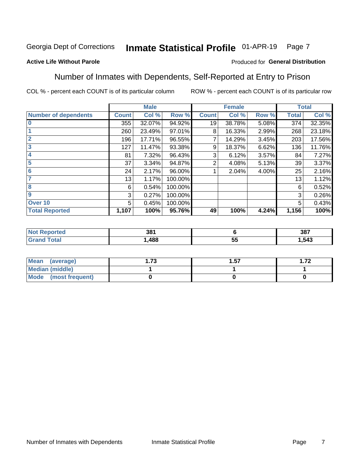#### Inmate Statistical Profile 01-APR-19 Page 7

### **Active Life Without Parole**

### Produced for General Distribution

### Number of Inmates with Dependents, Self-Reported at Entry to Prison

COL % - percent each COUNT is of its particular column

|                             |              | <b>Male</b> |         |              | <b>Female</b> |       |              | <b>Total</b> |
|-----------------------------|--------------|-------------|---------|--------------|---------------|-------|--------------|--------------|
| <b>Number of dependents</b> | <b>Count</b> | Col %       | Row %   | <b>Count</b> | Col %         | Row % | <b>Total</b> | Col %        |
| $\bf{0}$                    | 355          | 32.07%      | 94.92%  | 19           | 38.78%        | 5.08% | 374          | 32.35%       |
|                             | 260          | 23.49%      | 97.01%  | 8            | 16.33%        | 2.99% | 268          | 23.18%       |
| $\overline{2}$              | 196          | 17.71%      | 96.55%  |              | 14.29%        | 3.45% | 203          | 17.56%       |
| 3                           | 127          | 11.47%      | 93.38%  | 9            | 18.37%        | 6.62% | 136          | 11.76%       |
| 4                           | 81           | 7.32%       | 96.43%  | 3            | 6.12%         | 3.57% | 84           | 7.27%        |
| 5                           | 37           | 3.34%       | 94.87%  | 2            | 4.08%         | 5.13% | 39           | 3.37%        |
| $6\phantom{1}6$             | 24           | 2.17%       | 96.00%  |              | 2.04%         | 4.00% | 25           | 2.16%        |
| 7                           | 13           | 1.17%       | 100.00% |              |               |       | 13           | 1.12%        |
| 8                           | 6            | 0.54%       | 100.00% |              |               |       | 6            | 0.52%        |
| $\boldsymbol{9}$            | 3            | 0.27%       | 100.00% |              |               |       | 3            | 0.26%        |
| Over 10                     | 5            | 0.45%       | 100.00% |              |               |       | 5            | 0.43%        |
| <b>Total Reported</b>       | 1,107        | 100%        | 95.76%  | 49           | 100%          | 4.24% | 1,156        | 100%         |

| າດ,<br>აი<br>$ -$ |                  | 387  |
|-------------------|------------------|------|
| 488               | --<br>$\sim$<br> | .543 |

| Mean<br>(average)      | 72<br>I . / J | . 57 | ר ⊤<br>I . <i>I 4</i> |
|------------------------|---------------|------|-----------------------|
| <b>Median (middle)</b> |               |      |                       |
| Mode (most frequent)   |               |      |                       |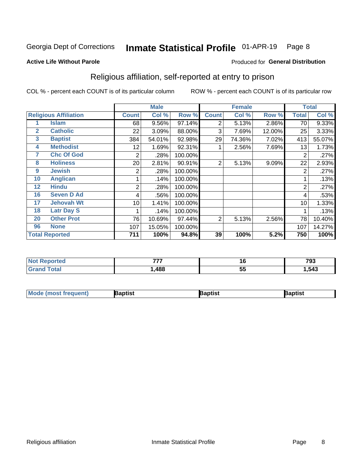#### Inmate Statistical Profile 01-APR-19 Page 8

#### **Active Life Without Parole**

#### Produced for General Distribution

## Religious affiliation, self-reported at entry to prison

COL % - percent each COUNT is of its particular column

|              |                              |              | <b>Male</b> |         |                | <b>Female</b> |        |       | <b>Total</b> |
|--------------|------------------------------|--------------|-------------|---------|----------------|---------------|--------|-------|--------------|
|              | <b>Religious Affiliation</b> | <b>Count</b> | Col %       | Row %   | <b>Count</b>   | Col %         | Row %  | Total | Col %        |
|              | <b>Islam</b>                 | 68           | 9.56%       | 97.14%  | 2              | 5.13%         | 2.86%  | 70    | 9.33%        |
| $\mathbf{2}$ | <b>Catholic</b>              | 22           | 3.09%       | 88.00%  | 3              | 7.69%         | 12.00% | 25    | 3.33%        |
| 3            | <b>Baptist</b>               | 384          | 54.01%      | 92.98%  | 29             | 74.36%        | 7.02%  | 413   | 55.07%       |
| 4            | <b>Methodist</b>             | 12           | 1.69%       | 92.31%  |                | 2.56%         | 7.69%  | 13    | 1.73%        |
| 7            | <b>Chc Of God</b>            | 2            | .28%        | 100.00% |                |               |        | 2     | .27%         |
| 8            | <b>Holiness</b>              | 20           | 2.81%       | 90.91%  | $\overline{2}$ | 5.13%         | 9.09%  | 22    | 2.93%        |
| 9            | <b>Jewish</b>                | 2            | .28%        | 100.00% |                |               |        | 2     | .27%         |
| 10           | <b>Anglican</b>              |              | .14%        | 100.00% |                |               |        |       | .13%         |
| 12           | <b>Hindu</b>                 | 2            | .28%        | 100.00% |                |               |        | 2     | .27%         |
| 16           | <b>Seven D Ad</b>            | 4            | .56%        | 100.00% |                |               |        | 4     | .53%         |
| 17           | <b>Jehovah Wt</b>            | 10           | 1.41%       | 100.00% |                |               |        | 10    | 1.33%        |
| 18           | <b>Latr Day S</b>            |              | .14%        | 100.00% |                |               |        |       | .13%         |
| 20           | <b>Other Prot</b>            | 76           | 10.69%      | 97.44%  | 2              | 5.13%         | 2.56%  | 78    | 10.40%       |
| 96           | <b>None</b>                  | 107          | 15.05%      | 100.00% |                |               |        | 107   | 14.27%       |
|              | <b>Total Reported</b>        | 711          | 100%        | 94.8%   | 39             | 100%          | 5.2%   | 750   | 100%         |

| ı teu<br>$\sim$ | ---- | 10       | 793  |
|-----------------|------|----------|------|
|                 | ,488 | --<br>JJ | .543 |

| <b>Mode</b><br>'most frequent) | aptist | 3aptist | 3aptist |
|--------------------------------|--------|---------|---------|
|                                |        |         |         |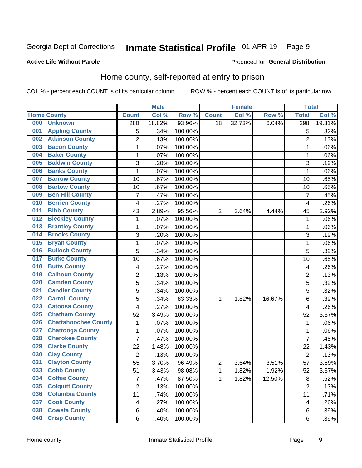#### Inmate Statistical Profile 01-APR-19 Page 9

#### **Active Life Without Parole**

### Produced for General Distribution

## Home county, self-reported at entry to prison

COL % - percent each COUNT is of its particular column

|     |                             |                         | <b>Male</b> |         |                | <b>Female</b> |        | <b>Total</b>            |        |
|-----|-----------------------------|-------------------------|-------------|---------|----------------|---------------|--------|-------------------------|--------|
|     | <b>Home County</b>          | <b>Count</b>            | Col %       | Row %   | <b>Count</b>   | Col %         | Row %  | <b>Total</b>            | Col %  |
| 000 | <b>Unknown</b>              | 280                     | 18.82%      | 93.96%  | 18             | 32.73%        | 6.04%  | 298                     | 19.31% |
| 001 | <b>Appling County</b>       | 5                       | .34%        | 100.00% |                |               |        | 5                       | .32%   |
| 002 | <b>Atkinson County</b>      | $\overline{2}$          | .13%        | 100.00% |                |               |        | $\overline{2}$          | .13%   |
| 003 | <b>Bacon County</b>         | $\mathbf 1$             | .07%        | 100.00% |                |               |        | 1                       | .06%   |
| 004 | <b>Baker County</b>         | $\mathbf{1}$            | .07%        | 100.00% |                |               |        | 1                       | .06%   |
| 005 | <b>Baldwin County</b>       | 3                       | .20%        | 100.00% |                |               |        | 3                       | .19%   |
| 006 | <b>Banks County</b>         | $\mathbf{1}$            | .07%        | 100.00% |                |               |        | 1                       | .06%   |
| 007 | <b>Barrow County</b>        | 10                      | .67%        | 100.00% |                |               |        | 10                      | .65%   |
| 008 | <b>Bartow County</b>        | 10                      | .67%        | 100.00% |                |               |        | 10                      | .65%   |
| 009 | <b>Ben Hill County</b>      | $\overline{7}$          | .47%        | 100.00% |                |               |        | 7                       | .45%   |
| 010 | <b>Berrien County</b>       | 4                       | .27%        | 100.00% |                |               |        | $\overline{\mathbf{4}}$ | .26%   |
| 011 | <b>Bibb County</b>          | 43                      | 2.89%       | 95.56%  | 2              | 3.64%         | 4.44%  | 45                      | 2.92%  |
| 012 | <b>Bleckley County</b>      | 1                       | .07%        | 100.00% |                |               |        | 1                       | .06%   |
| 013 | <b>Brantley County</b>      | $\mathbf 1$             | .07%        | 100.00% |                |               |        | 1                       | .06%   |
| 014 | <b>Brooks County</b>        | 3                       | .20%        | 100.00% |                |               |        | 3                       | .19%   |
| 015 | <b>Bryan County</b>         | $\mathbf 1$             | .07%        | 100.00% |                |               |        | 1                       | .06%   |
| 016 | <b>Bulloch County</b>       | 5                       | .34%        | 100.00% |                |               |        | 5                       | .32%   |
| 017 | <b>Burke County</b>         | 10                      | .67%        | 100.00% |                |               |        | 10                      | .65%   |
| 018 | <b>Butts County</b>         | 4                       | .27%        | 100.00% |                |               |        | 4                       | .26%   |
| 019 | <b>Calhoun County</b>       | $\overline{2}$          | .13%        | 100.00% |                |               |        | $\overline{2}$          | .13%   |
| 020 | <b>Camden County</b>        | 5                       | .34%        | 100.00% |                |               |        | 5                       | .32%   |
| 021 | <b>Candler County</b>       | 5                       | .34%        | 100.00% |                |               |        | 5                       | .32%   |
| 022 | <b>Carroll County</b>       | 5                       | .34%        | 83.33%  | 1              | 1.82%         | 16.67% | 6                       | .39%   |
| 023 | <b>Catoosa County</b>       | 4                       | .27%        | 100.00% |                |               |        | 4                       | .26%   |
| 025 | <b>Chatham County</b>       | 52                      | 3.49%       | 100.00% |                |               |        | 52                      | 3.37%  |
| 026 | <b>Chattahoochee County</b> | $\mathbf 1$             | .07%        | 100.00% |                |               |        | 1                       | .06%   |
| 027 | <b>Chattooga County</b>     | $\mathbf 1$             | .07%        | 100.00% |                |               |        | 1                       | .06%   |
| 028 | <b>Cherokee County</b>      | $\overline{7}$          | .47%        | 100.00% |                |               |        | $\overline{7}$          | .45%   |
| 029 | <b>Clarke County</b>        | 22                      | 1.48%       | 100.00% |                |               |        | 22                      | 1.43%  |
| 030 | <b>Clay County</b>          | $\overline{2}$          | .13%        | 100.00% |                |               |        | $\overline{2}$          | .13%   |
| 031 | <b>Clayton County</b>       | 55                      | 3.70%       | 96.49%  | $\overline{c}$ | 3.64%         | 3.51%  | 57                      | 3.69%  |
| 033 | <b>Cobb County</b>          | 51                      | 3.43%       | 98.08%  | 1              | 1.82%         | 1.92%  | 52                      | 3.37%  |
| 034 | <b>Coffee County</b>        | $\overline{7}$          | .47%        | 87.50%  | 1              | 1.82%         | 12.50% | 8                       | .52%   |
| 035 | <b>Colquitt County</b>      | $\overline{2}$          | .13%        | 100.00% |                |               |        | $\overline{2}$          | .13%   |
| 036 | <b>Columbia County</b>      | 11                      | .74%        | 100.00% |                |               |        | 11                      | .71%   |
| 037 | <b>Cook County</b>          | $\overline{\mathbf{4}}$ | .27%        | 100.00% |                |               |        | 4                       | .26%   |
| 038 | <b>Coweta County</b>        | 6                       | .40%        | 100.00% |                |               |        | 6                       | .39%   |
| 040 | <b>Crisp County</b>         | 6                       | .40%        | 100.00% |                |               |        | 6                       | .39%   |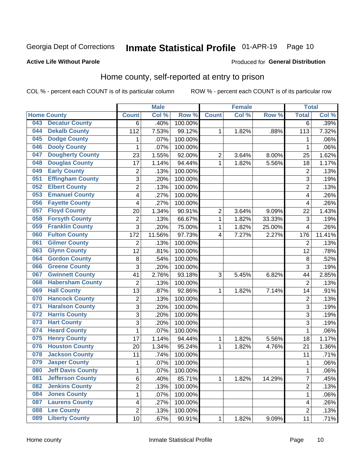#### Inmate Statistical Profile 01-APR-19 Page 10

#### **Active Life Without Parole**

#### Produced for General Distribution

### Home county, self-reported at entry to prison

COL % - percent each COUNT is of its particular column

|     |                          |                | <b>Male</b> |         |                | <b>Female</b> |        | <b>Total</b>   |        |
|-----|--------------------------|----------------|-------------|---------|----------------|---------------|--------|----------------|--------|
|     | <b>Home County</b>       | <b>Count</b>   | Col %       | Row %   | <b>Count</b>   | Col %         | Row %  | <b>Total</b>   | Col %  |
| 043 | <b>Decatur County</b>    | 6              | .40%        | 100.00% |                |               |        | $\overline{6}$ | .39%   |
| 044 | <b>Dekalb County</b>     | 112            | 7.53%       | 99.12%  | 1              | 1.82%         | .88%   | 113            | 7.32%  |
| 045 | <b>Dodge County</b>      | 1              | .07%        | 100.00% |                |               |        | 1              | .06%   |
| 046 | <b>Dooly County</b>      | 1              | .07%        | 100.00% |                |               |        | 1              | .06%   |
| 047 | <b>Dougherty County</b>  | 23             | 1.55%       | 92.00%  | $\mathbf 2$    | 3.64%         | 8.00%  | 25             | 1.62%  |
| 048 | <b>Douglas County</b>    | 17             | 1.14%       | 94.44%  | $\mathbf 1$    | 1.82%         | 5.56%  | 18             | 1.17%  |
| 049 | <b>Early County</b>      | $\mathbf 2$    | .13%        | 100.00% |                |               |        | $\overline{2}$ | .13%   |
| 051 | <b>Effingham County</b>  | 3              | .20%        | 100.00% |                |               |        | 3              | .19%   |
| 052 | <b>Elbert County</b>     | $\overline{2}$ | .13%        | 100.00% |                |               |        | $\overline{2}$ | .13%   |
| 053 | <b>Emanuel County</b>    | 4              | .27%        | 100.00% |                |               |        | 4              | .26%   |
| 056 | <b>Fayette County</b>    | 4              | .27%        | 100.00% |                |               |        | 4              | .26%   |
| 057 | <b>Floyd County</b>      | 20             | 1.34%       | 90.91%  | $\overline{c}$ | 3.64%         | 9.09%  | 22             | 1.43%  |
| 058 | <b>Forsyth County</b>    | $\mathbf 2$    | .13%        | 66.67%  | $\mathbf 1$    | 1.82%         | 33.33% | $\mathfrak{S}$ | .19%   |
| 059 | <b>Franklin County</b>   | 3              | .20%        | 75.00%  | $\mathbf 1$    | 1.82%         | 25.00% | 4              | .26%   |
| 060 | <b>Fulton County</b>     | 172            | 11.56%      | 97.73%  | 4              | 7.27%         | 2.27%  | 176            | 11.41% |
| 061 | <b>Gilmer County</b>     | $\overline{2}$ | .13%        | 100.00% |                |               |        | $\overline{2}$ | .13%   |
| 063 | <b>Glynn County</b>      | 12             | .81%        | 100.00% |                |               |        | 12             | .78%   |
| 064 | <b>Gordon County</b>     | 8              | .54%        | 100.00% |                |               |        | 8              | .52%   |
| 066 | <b>Greene County</b>     | 3              | .20%        | 100.00% |                |               |        | 3              | .19%   |
| 067 | <b>Gwinnett County</b>   | 41             | 2.76%       | 93.18%  | 3              | 5.45%         | 6.82%  | 44             | 2.85%  |
| 068 | <b>Habersham County</b>  | $\overline{2}$ | .13%        | 100.00% |                |               |        | $\overline{2}$ | .13%   |
| 069 | <b>Hall County</b>       | 13             | .87%        | 92.86%  | 1              | 1.82%         | 7.14%  | 14             | .91%   |
| 070 | <b>Hancock County</b>    | $\mathbf 2$    | .13%        | 100.00% |                |               |        | 2              | .13%   |
| 071 | <b>Haralson County</b>   | 3              | .20%        | 100.00% |                |               |        | 3              | .19%   |
| 072 | <b>Harris County</b>     | 3              | .20%        | 100.00% |                |               |        | 3              | .19%   |
| 073 | <b>Hart County</b>       | 3              | .20%        | 100.00% |                |               |        | 3              | .19%   |
| 074 | <b>Heard County</b>      | 1              | .07%        | 100.00% |                |               |        | 1              | .06%   |
| 075 | <b>Henry County</b>      | 17             | 1.14%       | 94.44%  | 1              | 1.82%         | 5.56%  | 18             | 1.17%  |
| 076 | <b>Houston County</b>    | 20             | 1.34%       | 95.24%  | 1              | 1.82%         | 4.76%  | 21             | 1.36%  |
| 078 | <b>Jackson County</b>    | 11             | .74%        | 100.00% |                |               |        | 11             | .71%   |
| 079 | <b>Jasper County</b>     | 1              | .07%        | 100.00% |                |               |        | 1              | .06%   |
| 080 | <b>Jeff Davis County</b> | 1              | .07%        | 100.00% |                |               |        | 1              | .06%   |
| 081 | <b>Jefferson County</b>  | 6              | .40%        | 85.71%  | 1              | 1.82%         | 14.29% | 7              | .45%   |
| 082 | <b>Jenkins County</b>    | $\overline{c}$ | .13%        | 100.00% |                |               |        | 2              | .13%   |
| 084 | <b>Jones County</b>      | $\mathbf 1$    | .07%        | 100.00% |                |               |        | 1              | .06%   |
| 087 | <b>Laurens County</b>    | 4              | .27%        | 100.00% |                |               |        | 4              | .26%   |
| 088 | <b>Lee County</b>        | $\overline{2}$ | .13%        | 100.00% |                |               |        | $\overline{2}$ | .13%   |
| 089 | <b>Liberty County</b>    | 10             | .67%        | 90.91%  | 1              | 1.82%         | 9.09%  | 11             | .71%   |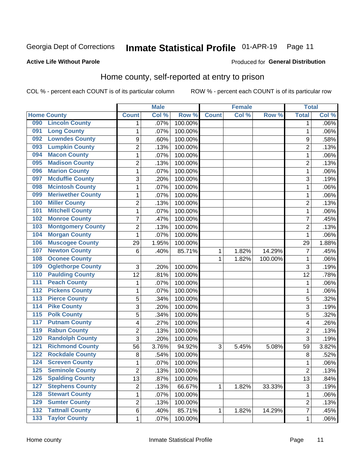#### Inmate Statistical Profile 01-APR-19 Page 11

#### **Active Life Without Parole**

#### Produced for General Distribution

### Home county, self-reported at entry to prison

COL % - percent each COUNT is of its particular column

|                  |                          |                         | <b>Male</b> |         |              | <b>Female</b> |         | <b>Total</b>   |         |
|------------------|--------------------------|-------------------------|-------------|---------|--------------|---------------|---------|----------------|---------|
|                  | <b>Home County</b>       | <b>Count</b>            | Col %       | Row %   | <b>Count</b> | Col %         | Row %   | <b>Total</b>   | Col %   |
| 090              | <b>Lincoln County</b>    | 1                       | .07%        | 100.00% |              |               |         | 1              | $.06\%$ |
| 091              | <b>Long County</b>       | $\mathbf{1}$            | .07%        | 100.00% |              |               |         | 1              | .06%    |
| 092              | <b>Lowndes County</b>    | $\boldsymbol{9}$        | .60%        | 100.00% |              |               |         | 9              | .58%    |
| 093              | <b>Lumpkin County</b>    | $\overline{2}$          | .13%        | 100.00% |              |               |         | $\overline{2}$ | .13%    |
| 094              | <b>Macon County</b>      | 1                       | .07%        | 100.00% |              |               |         | 1              | .06%    |
| 095              | <b>Madison County</b>    | $\overline{2}$          | .13%        | 100.00% |              |               |         | $\overline{2}$ | .13%    |
| 096              | <b>Marion County</b>     | 1                       | .07%        | 100.00% |              |               |         | 1              | .06%    |
| 097              | <b>Mcduffie County</b>   | 3                       | .20%        | 100.00% |              |               |         | 3              | .19%    |
| 098              | <b>Mcintosh County</b>   | $\mathbf{1}$            | .07%        | 100.00% |              |               |         | 1              | .06%    |
| 099              | <b>Meriwether County</b> | $\mathbf{1}$            | .07%        | 100.00% |              |               |         | 1              | .06%    |
| 100              | <b>Miller County</b>     | $\overline{c}$          | .13%        | 100.00% |              |               |         | $\overline{c}$ | .13%    |
| 101              | <b>Mitchell County</b>   | $\mathbf{1}$            | .07%        | 100.00% |              |               |         | 1              | .06%    |
| 102              | <b>Monroe County</b>     | $\overline{7}$          | .47%        | 100.00% |              |               |         | 7              | .45%    |
| 103              | <b>Montgomery County</b> | $\overline{2}$          | .13%        | 100.00% |              |               |         | $\overline{2}$ | .13%    |
| 104              | <b>Morgan County</b>     | $\mathbf{1}$            | .07%        | 100.00% |              |               |         | 1              | .06%    |
| 106              | <b>Muscogee County</b>   | 29                      | 1.95%       | 100.00% |              |               |         | 29             | 1.88%   |
| 107              | <b>Newton County</b>     | $6\phantom{1}6$         | .40%        | 85.71%  | 1            | 1.82%         | 14.29%  | 7              | .45%    |
| 108              | <b>Oconee County</b>     |                         |             |         | 1            | 1.82%         | 100.00% | 1              | .06%    |
| 109              | <b>Oglethorpe County</b> | 3                       | .20%        | 100.00% |              |               |         | 3              | .19%    |
| 110              | <b>Paulding County</b>   | 12                      | .81%        | 100.00% |              |               |         | 12             | .78%    |
| 111              | <b>Peach County</b>      | $\mathbf{1}$            | .07%        | 100.00% |              |               |         | 1              | .06%    |
| $\overline{112}$ | <b>Pickens County</b>    | $\mathbf{1}$            | .07%        | 100.00% |              |               |         | 1              | .06%    |
| 113              | <b>Pierce County</b>     | 5                       | .34%        | 100.00% |              |               |         | 5              | .32%    |
| 114              | <b>Pike County</b>       | 3                       | .20%        | 100.00% |              |               |         | 3              | .19%    |
| $\overline{115}$ | <b>Polk County</b>       | 5                       | .34%        | 100.00% |              |               |         | 5              | .32%    |
| 117              | <b>Putnam County</b>     | $\overline{\mathbf{4}}$ | .27%        | 100.00% |              |               |         | 4              | .26%    |
| 119              | <b>Rabun County</b>      | $\overline{c}$          | .13%        | 100.00% |              |               |         | $\overline{c}$ | .13%    |
| 120              | <b>Randolph County</b>   | 3                       | .20%        | 100.00% |              |               |         | 3              | .19%    |
| 121              | <b>Richmond County</b>   | 56                      | 3.76%       | 94.92%  | 3            | 5.45%         | 5.08%   | 59             | 3.82%   |
| 122              | <b>Rockdale County</b>   | 8                       | .54%        | 100.00% |              |               |         | 8              | .52%    |
| $\overline{124}$ | <b>Screven County</b>    | $\mathbf{1}$            | .07%        | 100.00% |              |               |         | 1              | .06%    |
| 125              | <b>Seminole County</b>   | $\overline{c}$          | .13%        | 100.00% |              |               |         | 2              | .13%    |
| 126              | <b>Spalding County</b>   | 13                      | .87%        | 100.00% |              |               |         | 13             | .84%    |
| 127              | <b>Stephens County</b>   | $\overline{2}$          | .13%        | 66.67%  | $\mathbf{1}$ | 1.82%         | 33.33%  | 3              | .19%    |
| 128              | <b>Stewart County</b>    | $\mathbf{1}$            | .07%        | 100.00% |              |               |         | $\mathbf{1}$   | .06%    |
| 129              | <b>Sumter County</b>     | $\overline{2}$          | .13%        | 100.00% |              |               |         | 2              | .13%    |
| $\overline{132}$ | <b>Tattnall County</b>   | 6                       | .40%        | 85.71%  | 1            | 1.82%         | 14.29%  | 7              | .45%    |
| $\overline{133}$ | <b>Taylor County</b>     | $\mathbf 1$             | .07%        | 100.00% |              |               |         | $\mathbf{1}$   | .06%    |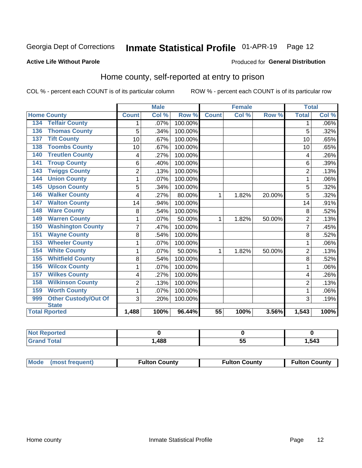#### Inmate Statistical Profile 01-APR-19 Page 12

#### **Active Life Without Parole**

### Produced for General Distribution

### Home county, self-reported at entry to prison

COL % - percent each COUNT is of its particular column

|                                    |                         | <b>Male</b> |         | <b>Female</b>   |       |        | <b>Total</b>   |         |
|------------------------------------|-------------------------|-------------|---------|-----------------|-------|--------|----------------|---------|
| <b>Home County</b>                 | <b>Count</b>            | Col %       | Row %   | <b>Count</b>    | Col % | Row %  | <b>Total</b>   | Col %   |
| <b>Telfair County</b><br>134       | 1                       | $.07\%$     | 100.00% |                 |       |        | 1              | $.06\%$ |
| <b>Thomas County</b><br>136        | 5                       | .34%        | 100.00% |                 |       |        | 5              | .32%    |
| <b>Tift County</b><br>137          | 10                      | .67%        | 100.00% |                 |       |        | 10             | .65%    |
| <b>Toombs County</b><br>138        | 10                      | .67%        | 100.00% |                 |       |        | 10             | .65%    |
| <b>Treutlen County</b><br>140      | 4                       | .27%        | 100.00% |                 |       |        | 4              | .26%    |
| <b>Troup County</b><br>141         | 6                       | .40%        | 100.00% |                 |       |        | 6              | .39%    |
| <b>Twiggs County</b><br>143        | $\overline{\mathbf{c}}$ | .13%        | 100.00% |                 |       |        | $\overline{2}$ | .13%    |
| <b>Union County</b><br>144         | 1                       | .07%        | 100.00% |                 |       |        |                | .06%    |
| <b>Upson County</b><br>145         | 5                       | .34%        | 100.00% |                 |       |        | 5              | .32%    |
| <b>Walker County</b><br>146        | 4                       | .27%        | 80.00%  | 1               | 1.82% | 20.00% | 5              | .32%    |
| <b>Walton County</b><br>147        | 14                      | .94%        | 100.00% |                 |       |        | 14             | .91%    |
| <b>Ware County</b><br>148          | 8                       | .54%        | 100.00% |                 |       |        | 8              | .52%    |
| <b>Warren County</b><br>149        | 1                       | .07%        | 50.00%  | 1               | 1.82% | 50.00% | $\overline{2}$ | .13%    |
| <b>Washington County</b><br>150    | 7                       | .47%        | 100.00% |                 |       |        | 7              | .45%    |
| <b>Wayne County</b><br>151         | 8                       | .54%        | 100.00% |                 |       |        | 8              | .52%    |
| <b>Wheeler County</b><br>153       | 1                       | .07%        | 100.00% |                 |       |        | 1              | .06%    |
| <b>White County</b><br>154         | 1                       | $.07\%$     | 50.00%  | 1               | 1.82% | 50.00% | $\overline{2}$ | .13%    |
| <b>Whitfield County</b><br>155     | 8                       | .54%        | 100.00% |                 |       |        | 8              | .52%    |
| <b>Wilcox County</b><br>156        | 1                       | .07%        | 100.00% |                 |       |        |                | .06%    |
| <b>Wilkes County</b><br>157        | 4                       | .27%        | 100.00% |                 |       |        | 4              | .26%    |
| <b>Wilkinson County</b><br>158     | $\overline{2}$          | .13%        | 100.00% |                 |       |        | $\overline{2}$ | .13%    |
| <b>Worth County</b><br>159         | 1                       | .07%        | 100.00% |                 |       |        | 1              | .06%    |
| <b>Other Custody/Out Of</b><br>999 | 3                       | .20%        | 100.00% |                 |       |        | 3              | .19%    |
| <b>State</b>                       |                         |             |         |                 |       |        |                |         |
| <b>Total Rported</b>               | 1,488                   | 100%        | 96.44%  | $\overline{55}$ | 100%  | 3.56%  | 1,543          | 100%    |

| <b>Not Reported</b> |      |    |      |
|---------------------|------|----|------|
| `otal               | ,488 | ັບ | ,543 |

| Mode (most frequent) | <b>Fulton County</b> | <b>Fulton County</b> | <b>Fulton County</b> |
|----------------------|----------------------|----------------------|----------------------|
|----------------------|----------------------|----------------------|----------------------|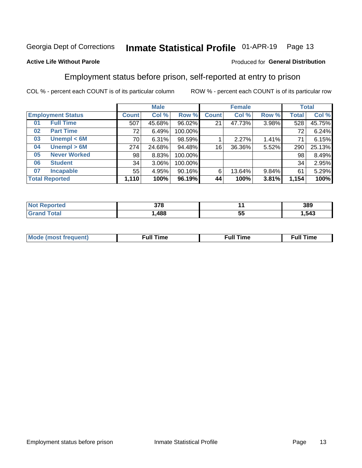#### Inmate Statistical Profile 01-APR-19 Page 13

### **Active Life Without Parole**

#### Produced for General Distribution

### Employment status before prison, self-reported at entry to prison

COL % - percent each COUNT is of its particular column

|                           |              | <b>Male</b> |         |              | <b>Female</b> |       |       | <b>Total</b> |
|---------------------------|--------------|-------------|---------|--------------|---------------|-------|-------|--------------|
| <b>Employment Status</b>  | <b>Count</b> | Col %       | Row %   | <b>Count</b> | Col %         | Row % | Total | Col %        |
| <b>Full Time</b><br>01    | 507          | 45.68%      | 96.02%  | 21           | 47.73%        | 3.98% | 528   | 45.75%       |
| <b>Part Time</b><br>02    | 72           | 6.49%       | 100.00% |              |               |       | 72    | 6.24%        |
| Unempl $<$ 6M<br>03       | 70           | 6.31%       | 98.59%  |              | 2.27%         | 1.41% | 71    | 6.15%        |
| Unempl > 6M<br>04         | 274          | 24.68%      | 94.48%  | 16           | 36.36%        | 5.52% | 290   | 25.13%       |
| <b>Never Worked</b><br>05 | 98           | 8.83%       | 100.00% |              |               |       | 98    | 8.49%        |
| <b>Student</b><br>06      | 34           | $3.06\%$    | 100.00% |              |               |       | 34    | 2.95%        |
| <b>Incapable</b><br>07    | 55           | 4.95%       | 90.16%  | 6            | 13.64%        | 9.84% | 61    | 5.29%        |
| <b>Total Reported</b>     | 1,110        | 100%        | 96.19%  | 44           | 100%          | 3.81% | 1,154 | 100%         |

| 270<br>J 1 0<br>$ -$ |    | 389   |
|----------------------|----|-------|
| 488                  | ວະ | .,543 |

| Mc | ∴ull | ----<br>ıme<br>w |
|----|------|------------------|
|    |      |                  |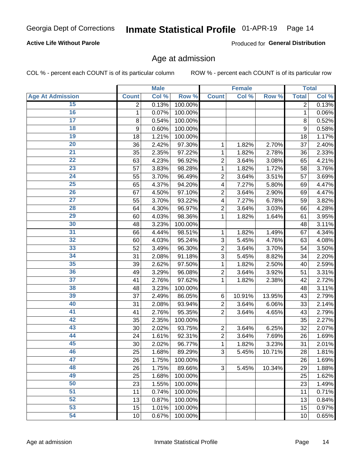### **Active Life Without Parole**

Produced for General Distribution

### Age at admission

COL % - percent each COUNT is of its particular column

|                         |              | <b>Male</b> |         |                | <b>Female</b> |        |              | <b>Total</b> |
|-------------------------|--------------|-------------|---------|----------------|---------------|--------|--------------|--------------|
| <b>Age At Admission</b> | <b>Count</b> | Col %       | Row %   | <b>Count</b>   | Col %         | Row %  | <b>Total</b> | Col %        |
| 15                      | 2            | 0.13%       | 100.00% |                |               |        | 2            | 0.13%        |
| 16                      | 1            | 0.07%       | 100.00% |                |               |        | 1            | 0.06%        |
| $\overline{17}$         | 8            | 0.54%       | 100.00% |                |               |        | 8            | 0.52%        |
| 18                      | 9            | 0.60%       | 100.00% |                |               |        | 9            | 0.58%        |
| 19                      | 18           | 1.21%       | 100.00% |                |               |        | 18           | 1.17%        |
| $\overline{20}$         | 36           | 2.42%       | 97.30%  | 1              | 1.82%         | 2.70%  | 37           | 2.40%        |
| 21                      | 35           | 2.35%       | 97.22%  | 1              | 1.82%         | 2.78%  | 36           | 2.33%        |
| 22                      | 63           | 4.23%       | 96.92%  | $\overline{2}$ | 3.64%         | 3.08%  | 65           | 4.21%        |
| 23                      | 57           | 3.83%       | 98.28%  | 1              | 1.82%         | 1.72%  | 58           | 3.76%        |
| 24                      | 55           | 3.70%       | 96.49%  | $\overline{2}$ | 3.64%         | 3.51%  | 57           | 3.69%        |
| $\overline{25}$         | 65           | 4.37%       | 94.20%  | 4              | 7.27%         | 5.80%  | 69           | 4.47%        |
| 26                      | 67           | 4.50%       | 97.10%  | $\overline{2}$ | 3.64%         | 2.90%  | 69           | 4.47%        |
| $\overline{27}$         | 55           | 3.70%       | 93.22%  | 4              | 7.27%         | 6.78%  | 59           | 3.82%        |
| 28                      | 64           | 4.30%       | 96.97%  | $\overline{2}$ | 3.64%         | 3.03%  | 66           | 4.28%        |
| 29                      | 60           | 4.03%       | 98.36%  | 1              | 1.82%         | 1.64%  | 61           | 3.95%        |
| 30                      | 48           | 3.23%       | 100.00% |                |               |        | 48           | 3.11%        |
| $\overline{31}$         | 66           | 4.44%       | 98.51%  | 1              | 1.82%         | 1.49%  | 67           | 4.34%        |
| 32                      | 60           | 4.03%       | 95.24%  | 3              | 5.45%         | 4.76%  | 63           | 4.08%        |
| 33                      | 52           | 3.49%       | 96.30%  | $\overline{2}$ | 3.64%         | 3.70%  | 54           | 3.50%        |
| 34                      | 31           | 2.08%       | 91.18%  | 3              | 5.45%         | 8.82%  | 34           | 2.20%        |
| 35                      | 39           | 2.62%       | 97.50%  | 1              | 1.82%         | 2.50%  | 40           | 2.59%        |
| 36                      | 49           | 3.29%       | 96.08%  | $\overline{2}$ | 3.64%         | 3.92%  | 51           | 3.31%        |
| $\overline{37}$         | 41           | 2.76%       | 97.62%  | 1              | 1.82%         | 2.38%  | 42           | 2.72%        |
| 38                      | 48           | 3.23%       | 100.00% |                |               |        | 48           | 3.11%        |
| 39                      | 37           | 2.49%       | 86.05%  | 6              | 10.91%        | 13.95% | 43           | 2.79%        |
| 40                      | 31           | 2.08%       | 93.94%  | $\overline{2}$ | 3.64%         | 6.06%  | 33           | 2.14%        |
| 41                      | 41           | 2.76%       | 95.35%  | $\overline{2}$ | 3.64%         | 4.65%  | 43           | 2.79%        |
| 42                      | 35           | 2.35%       | 100.00% |                |               |        | 35           | 2.27%        |
| 43                      | 30           | 2.02%       | 93.75%  | $\overline{2}$ | 3.64%         | 6.25%  | 32           | 2.07%        |
| 44                      | 24           | 1.61%       | 92.31%  | $\overline{2}$ | 3.64%         | 7.69%  | 26           | 1.69%        |
| 45                      | 30           | 2.02%       | 96.77%  | 1              | 1.82%         | 3.23%  | 31           | 2.01%        |
| 46                      | 25           | 1.68%       | 89.29%  | 3              | 5.45%         | 10.71% | 28           | 1.81%        |
| 47                      | 26           | 1.75%       | 100.00% |                |               |        | 26           | 1.69%        |
| 48                      | 26           | 1.75%       | 89.66%  | 3              | 5.45%         | 10.34% | 29           | 1.88%        |
| 49                      | 25           | 1.68%       | 100.00% |                |               |        | 25           | 1.62%        |
| 50                      | 23           | 1.55%       | 100.00% |                |               |        | 23           | 1.49%        |
| $\overline{51}$         | 11           | 0.74%       | 100.00% |                |               |        | 11           | 0.71%        |
| 52                      | 13           | 0.87%       | 100.00% |                |               |        | 13           | 0.84%        |
| 53                      | 15           | 1.01%       | 100.00% |                |               |        | 15           | 0.97%        |
| 54                      | 10           | 0.67%       | 100.00% |                |               |        | 10           | 0.65%        |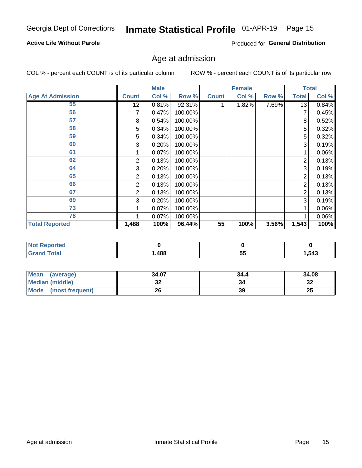### **Active Life Without Parole**

Produced for General Distribution

## Age at admission

COL % - percent each COUNT is of its particular column

|                         |              | <b>Male</b> |         |              | <b>Female</b> |       |              | <b>Total</b> |
|-------------------------|--------------|-------------|---------|--------------|---------------|-------|--------------|--------------|
| <b>Age At Admission</b> | <b>Count</b> | Col %       | Row %   | <b>Count</b> | Col %         | Row % | <b>Total</b> | Col %        |
| 55                      | 12           | 0.81%       | 92.31%  |              | 1.82%         | 7.69% | 13           | 0.84%        |
| 56                      |              | 0.47%       | 100.00% |              |               |       |              | 0.45%        |
| 57                      | 8            | 0.54%       | 100.00% |              |               |       | 8            | 0.52%        |
| 58                      | 5            | 0.34%       | 100.00% |              |               |       | 5            | 0.32%        |
| 59                      | 5            | 0.34%       | 100.00% |              |               |       | 5            | 0.32%        |
| 60                      | 3            | 0.20%       | 100.00% |              |               |       | 3            | 0.19%        |
| 61                      |              | $0.07\%$    | 100.00% |              |               |       |              | 0.06%        |
| 62                      | 2            | 0.13%       | 100.00% |              |               |       | 2            | 0.13%        |
| 64                      | 3            | 0.20%       | 100.00% |              |               |       | 3            | 0.19%        |
| 65                      | 2            | 0.13%       | 100.00% |              |               |       | 2            | 0.13%        |
| 66                      | 2            | 0.13%       | 100.00% |              |               |       | 2            | 0.13%        |
| 67                      | 2            | 0.13%       | 100.00% |              |               |       | 2            | 0.13%        |
| 69                      | 3            | 0.20%       | 100.00% |              |               |       | 3            | 0.19%        |
| 73                      |              | 0.07%       | 100.00% |              |               |       |              | 0.06%        |
| 78                      |              | 0.07%       | 100.00% |              |               |       |              | 0.06%        |
| <b>Total Reported</b>   | 1,488        | 100%        | 96.44%  | 55           | 100%          | 3.56% | 1,543        | 100%         |

| <b>Not Reported</b> |      |           |       |
|---------------------|------|-----------|-------|
| <b>Total</b>        | ,488 | - -<br>JJ | 1,543 |

| <b>Mean</b><br>(average) | 34.07 | 34.4 | 34.08    |
|--------------------------|-------|------|----------|
| <b>Median (middle)</b>   | JZ    |      | ົ<br>-52 |
| Mode (most frequent)     | 26    | 39   | 25       |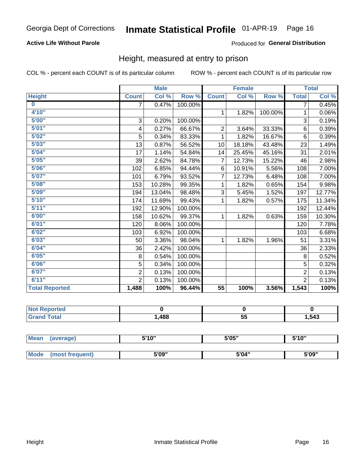### **Active Life Without Parole**

### Produced for General Distribution

### Height, measured at entry to prison

COL % - percent each COUNT is of its particular column

|                       |                           | <b>Male</b> |         |                | <b>Female</b> |         |                | <b>Total</b> |
|-----------------------|---------------------------|-------------|---------|----------------|---------------|---------|----------------|--------------|
| <b>Height</b>         | <b>Count</b>              | Col %       | Row %   | <b>Count</b>   | Col %         | Row %   | <b>Total</b>   | Col %        |
| $\bf{0}$              | $\overline{7}$            | 0.47%       | 100.00% |                |               |         | 7              | 0.45%        |
| 4'10''                |                           |             |         | $\mathbf{1}$   | 1.82%         | 100.00% | 1              | 0.06%        |
| 5'00''                | $\ensuremath{\mathsf{3}}$ | 0.20%       | 100.00% |                |               |         | 3              | 0.19%        |
| 5'01"                 | 4                         | 0.27%       | 66.67%  | $\overline{2}$ | 3.64%         | 33.33%  | 6              | 0.39%        |
| 5'02"                 | 5                         | 0.34%       | 83.33%  | 1              | 1.82%         | 16.67%  | $6\phantom{1}$ | 0.39%        |
| 5'03''                | 13                        | 0.87%       | 56.52%  | 10             | 18.18%        | 43.48%  | 23             | 1.49%        |
| 5'04"                 | 17                        | 1.14%       | 54.84%  | 14             | 25.45%        | 45.16%  | 31             | 2.01%        |
| 5'05"                 | 39                        | 2.62%       | 84.78%  | $\overline{7}$ | 12.73%        | 15.22%  | 46             | 2.98%        |
| 5'06''                | 102                       | 6.85%       | 94.44%  | 6              | 10.91%        | 5.56%   | 108            | 7.00%        |
| 5'07"                 | 101                       | 6.79%       | 93.52%  | 7              | 12.73%        | 6.48%   | 108            | 7.00%        |
| 5'08''                | 153                       | 10.28%      | 99.35%  | 1              | 1.82%         | 0.65%   | 154            | 9.98%        |
| 5'09''                | 194                       | 13.04%      | 98.48%  | 3              | 5.45%         | 1.52%   | 197            | 12.77%       |
| 5'10''                | 174                       | 11.69%      | 99.43%  | 1              | 1.82%         | 0.57%   | 175            | 11.34%       |
| 5'11"                 | 192                       | 12.90%      | 100.00% |                |               |         | 192            | 12.44%       |
| 6'00''                | 158                       | 10.62%      | 99.37%  | 1.             | 1.82%         | 0.63%   | 159            | 10.30%       |
| 6'01''                | 120                       | 8.06%       | 100.00% |                |               |         | 120            | 7.78%        |
| 6'02"                 | 103                       | 6.92%       | 100.00% |                |               |         | 103            | 6.68%        |
| 6'03''                | 50                        | 3.36%       | 98.04%  | $\mathbf{1}$   | 1.82%         | 1.96%   | 51             | 3.31%        |
| 6'04"                 | 36                        | 2.42%       | 100.00% |                |               |         | 36             | 2.33%        |
| 6'05"                 | 8                         | 0.54%       | 100.00% |                |               |         | 8              | 0.52%        |
| 6'06''                | 5                         | 0.34%       | 100.00% |                |               |         | 5              | 0.32%        |
| 6'07''                | $\overline{2}$            | 0.13%       | 100.00% |                |               |         | $\overline{2}$ | 0.13%        |
| 6'11''                | $\overline{2}$            | 0.13%       | 100.00% |                |               |         | $\overline{2}$ | 0.13%        |
| <b>Total Reported</b> | 1,488                     | 100%        | 96.44%  | 55             | 100%          | 3.56%   | 1,543          | 100%         |

| тео<br>m. |      |           |      |
|-----------|------|-----------|------|
|           | ,488 | --<br>vv. | ,543 |

| <b>Mean</b> | (average)       | 5'10" | 5'05" | 5'10" |  |
|-------------|-----------------|-------|-------|-------|--|
|             |                 |       |       |       |  |
| Mode        | (most frequent) | 5'09" | 5'04" | 5'09" |  |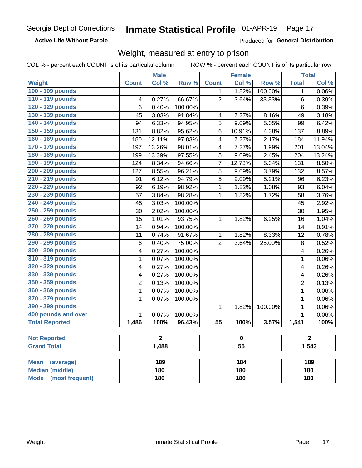**Active Life Without Parole** 

Produced for General Distribution

### Weight, measured at entry to prison

COL % - percent each COUNT is of its particular column

|                                                    |                | <b>Male</b> |         |                 | <b>Female</b>   |         |                | <b>Total</b> |  |
|----------------------------------------------------|----------------|-------------|---------|-----------------|-----------------|---------|----------------|--------------|--|
| <b>Weight</b>                                      | <b>Count</b>   | Col %       | Row %   | <b>Count</b>    | Col %           | Row %   | <b>Total</b>   | Col %        |  |
| 100 - 109 pounds                                   |                |             |         | 1               | 1.82%           | 100.00% | 1              | 0.06%        |  |
| 110 - 119 pounds                                   | 4              | 0.27%       | 66.67%  | $\overline{2}$  | 3.64%           | 33.33%  | 6              | 0.39%        |  |
| 120 - 129 pounds                                   | 6              | 0.40%       | 100.00% |                 |                 |         | 6              | 0.39%        |  |
| 130 - 139 pounds                                   | 45             | 3.03%       | 91.84%  | 4               | 7.27%           | 8.16%   | 49             | 3.18%        |  |
| 140 - 149 pounds                                   | 94             | 6.33%       | 94.95%  | 5               | 9.09%           | 5.05%   | 99             | 6.42%        |  |
| 150 - 159 pounds                                   | 131            | 8.82%       | 95.62%  | 6               | 10.91%          | 4.38%   | 137            | 8.89%        |  |
| 160 - 169 pounds                                   | 180            | 12.11%      | 97.83%  | 4               | 7.27%           | 2.17%   | 184            | 11.94%       |  |
| 170 - 179 pounds                                   | 197            | 13.26%      | 98.01%  | 4               | 7.27%           | 1.99%   | 201            | 13.04%       |  |
| 180 - 189 pounds                                   | 199            | 13.39%      | 97.55%  | 5               | 9.09%           | 2.45%   | 204            | 13.24%       |  |
| 190 - 199 pounds                                   | 124            | 8.34%       | 94.66%  | 7               | 12.73%          | 5.34%   | 131            | 8.50%        |  |
| 200 - 209 pounds                                   | 127            | 8.55%       | 96.21%  | 5               | 9.09%           | 3.79%   | 132            | 8.57%        |  |
| 210 - 219 pounds                                   | 91             | 6.12%       | 94.79%  | 5               | 9.09%           | 5.21%   | 96             | 6.23%        |  |
| 220 - 229 pounds                                   | 92             | 6.19%       | 98.92%  | 1               | 1.82%           | 1.08%   | 93             | 6.04%        |  |
| 230 - 239 pounds                                   | 57             | 3.84%       | 98.28%  | 1               | 1.82%           | 1.72%   | 58             | 3.76%        |  |
| 240 - 249 pounds                                   | 45             | 3.03%       | 100.00% |                 |                 |         | 45             | 2.92%        |  |
| 250 - 259 pounds                                   | 30             | 2.02%       | 100.00% |                 |                 |         | 30             | 1.95%        |  |
| 260 - 269 pounds                                   | 15             | 1.01%       | 93.75%  | 1               | 1.82%           | 6.25%   | 16             | 1.04%        |  |
| 270 - 279 pounds                                   | 14             | 0.94%       | 100.00% |                 |                 |         | 14             | 0.91%        |  |
| 280 - 289 pounds                                   | 11             | 0.74%       | 91.67%  | 1               | 1.82%           | 8.33%   | 12             | 0.78%        |  |
| 290 - 299 pounds                                   | 6              | 0.40%       | 75.00%  | $\overline{2}$  | 3.64%           | 25.00%  | 8              | 0.52%        |  |
| 300 - 309 pounds                                   | 4              | 0.27%       | 100.00% |                 |                 |         | 4              | 0.26%        |  |
| 310 - 319 pounds                                   | 1              | 0.07%       | 100.00% |                 |                 |         | $\mathbf{1}$   | 0.06%        |  |
| 320 - 329 pounds                                   | 4              | 0.27%       | 100.00% |                 |                 |         | 4              | 0.26%        |  |
| 330 - 339 pounds                                   | 4              | 0.27%       | 100.00% |                 |                 |         | 4              | 0.26%        |  |
| 350 - 359 pounds                                   | $\overline{2}$ | 0.13%       | 100.00% |                 |                 |         | $\overline{2}$ | 0.13%        |  |
| 360 - 369 pounds                                   | 1              | 0.07%       | 100.00% |                 |                 |         | 1              | 0.06%        |  |
| 370 - 379 pounds                                   | 1              | 0.07%       | 100.00% |                 |                 |         | $\mathbf 1$    | 0.06%        |  |
| 390 - 399 pounds                                   |                |             |         | 1               | 1.82%           | 100.00% | 1              | 0.06%        |  |
| 400 pounds and over                                | $\mathbf{1}$   | 0.07%       | 100.00% |                 |                 |         | $\mathbf{1}$   | 0.06%        |  |
| <b>Total Reported</b>                              | 1,486          | 100%        | 96.43%  | $\overline{55}$ | 100%            | 3.57%   | 1,541          | 100%         |  |
|                                                    |                |             |         |                 |                 |         |                |              |  |
| <b>Not Reported</b>                                |                | 2           |         |                 | 0               |         | 2              |              |  |
| <b>Grand Total</b>                                 |                | 1,488       |         |                 | $\overline{55}$ |         |                | 1,543        |  |
|                                                    |                | 189         |         |                 | 184             |         |                | 189          |  |
| <b>Mean</b><br>(average)<br><b>Median (middle)</b> |                | 180         |         |                 | 180             |         |                |              |  |
|                                                    |                |             |         |                 |                 |         |                | 180          |  |
| <b>Mode</b><br>(most frequent)                     | 180            |             |         |                 | 180             |         | 180            |              |  |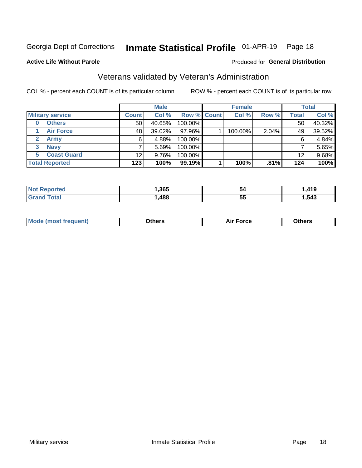#### Inmate Statistical Profile 01-APR-19 Page 18

#### **Active Life Without Parole**

#### Produced for General Distribution

## Veterans validated by Veteran's Administration

COL % - percent each COUNT is of its particular column

|              |                         |                 | <b>Male</b> |             | <b>Female</b> |       |              | <b>Total</b> |
|--------------|-------------------------|-----------------|-------------|-------------|---------------|-------|--------------|--------------|
|              | <b>Military service</b> | <b>Count</b>    | Col %       | Row % Count | Col %         | Row % | <b>Total</b> | Col %        |
| 0            | <b>Others</b>           | 50 <sub>1</sub> | 40.65%      | 100.00%     |               |       | 50           | 40.32%       |
|              | <b>Air Force</b>        | 48              | $39.02\%$   | 97.96%      | 100.00%       | 2.04% | 49           | 39.52%       |
| $\mathbf{2}$ | <b>Army</b>             | 6               | 4.88%       | 100.00%     |               |       | 6            | 4.84%        |
| 3            | <b>Navy</b>             |                 | 5.69%       | 100.00%     |               |       |              | 5.65%        |
| 5.           | <b>Coast Guard</b>      | 12              | 9.76%       | 100.00%     |               |       | 12           | 9.68%        |
|              | <b>Total Reported</b>   | 123             | 100%        | $99.19\%$   | 100%          | .81%  | 124          | 100%         |

| TAL. | .365 | 54        | $AA^{\prime}$<br>. |
|------|------|-----------|--------------------|
| int  | .488 | <b>bu</b> | 543                |

| <b>Moo.</b> |
|-------------|
|-------------|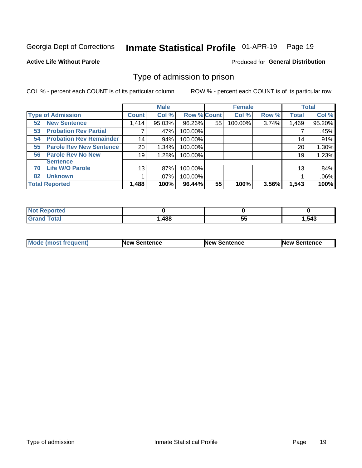#### Inmate Statistical Profile 01-APR-19 Page 19

**Active Life Without Parole** 

Produced for General Distribution

### Type of admission to prison

COL % - percent each COUNT is of its particular column

|                                      |              | <b>Male</b> |                    |    | <b>Female</b> |       |              | <b>Total</b> |
|--------------------------------------|--------------|-------------|--------------------|----|---------------|-------|--------------|--------------|
| <b>Type of Admission</b>             | <b>Count</b> | Col %       | <b>Row % Count</b> |    | Col %         | Row % | <b>Total</b> | Col %        |
| <b>52 New Sentence</b>               | 1,414        | 95.03%      | 96.26%             | 55 | 100.00%       | 3.74% | 1,469        | 95.20%       |
| <b>Probation Rev Partial</b><br>53   |              | .47%        | 100.00%            |    |               |       |              | .45%         |
| <b>Probation Rev Remainder</b><br>54 | 14           | .94%        | 100.00%            |    |               |       | 14           | .91%         |
| <b>Parole Rev New Sentence</b><br>55 | 20           | 1.34%       | 100.00%            |    |               |       | 20           | 1.30%        |
| <b>Parole Rev No New</b><br>56       | 19           | 1.28%       | 100.00%            |    |               |       | 19           | 1.23%        |
| <b>Sentence</b>                      |              |             |                    |    |               |       |              |              |
| <b>Life W/O Parole</b><br>70         | 13           | .87%        | 100.00%            |    |               |       | 13           | .84%         |
| <b>Unknown</b><br>82                 |              | $.07\%$     | 100.00%            |    |               |       |              | .06%         |
| <b>Total Reported</b>                | 1,488        | 100%        | 96.44%             | 55 | 100%          | 3.56% | 1,543        | 100%         |

| Reported<br><b>NOT</b> |       |          |       |
|------------------------|-------|----------|-------|
| <b>c</b> otal<br>Gra   | 488،، | --<br>◡◡ | . 543 |

| <b>Mode (most frequent)</b> | <b>New Sentence</b> | <b>New Sentence</b> | <b>New Sentence</b> |
|-----------------------------|---------------------|---------------------|---------------------|
|                             |                     |                     |                     |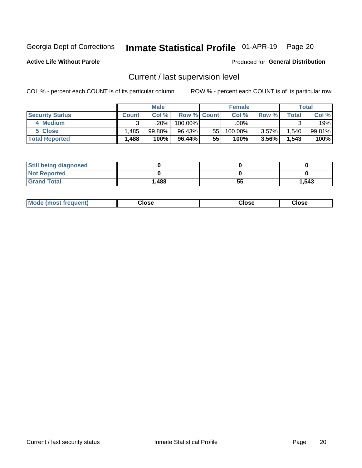## Inmate Statistical Profile 01-APR-19 Page 20

**Active Life Without Parole** 

#### Produced for General Distribution

## Current / last supervision level

COL % - percent each COUNT is of its particular column

|                        |              | <b>Male</b> |                    |    | <b>Female</b> |          |              | <b>Total</b> |
|------------------------|--------------|-------------|--------------------|----|---------------|----------|--------------|--------------|
| <b>Security Status</b> | <b>Count</b> | Col%        | <b>Row % Count</b> |    | Col %         | Row %    | <b>Total</b> | Col %        |
| 4 Medium               |              | ا 20%.      | 100.00%            |    | .00%          |          |              | .19%         |
| 5 Close                | .485         | $99.80\%$   | 96.43%             | 55 | 100.00%       | 3.57%    | 1,540        | 99.81%       |
| <b>Total Reported</b>  | .488         | 100%        | 96.44%             | 55 | 100%          | $3.56\%$ | 1,543        | 100%         |

| <b>Still being diagnosed</b> |       |    |       |
|------------------------------|-------|----|-------|
| <b>Not Reported</b>          |       |    |       |
| <b>Grand Total</b>           | 1,488 | 55 | 1,543 |

| <b>Mode (most frequent)</b> | Close | ∵lose | Close |
|-----------------------------|-------|-------|-------|
|                             |       |       |       |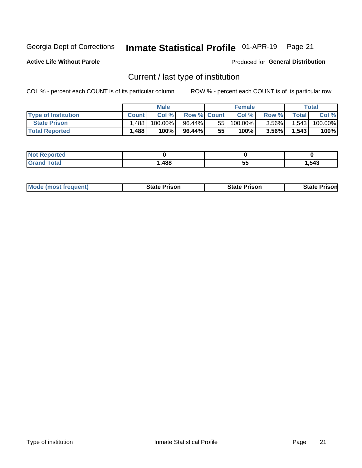#### Inmate Statistical Profile 01-APR-19 Page 21

**Active Life Without Parole** 

Produced for General Distribution

## Current / last type of institution

COL % - percent each COUNT is of its particular column

|                            |              | <b>Male</b> |                    |    | <b>Female</b> |          |              | Total   |
|----------------------------|--------------|-------------|--------------------|----|---------------|----------|--------------|---------|
| <b>Type of Institution</b> | <b>Count</b> | Col%        | <b>Row % Count</b> |    | Col %         | Row %    | <b>Total</b> | Col %   |
| <b>State Prison</b>        | ,488         | $100.00\%$  | 96.44%             | 55 | 100.00%」      | $3.56\%$ | 1,543        | 100.00% |
| <b>Total Reported</b>      | 1,488        | 100%        | $96.44\%$          | 55 | 100%          | 3.56%    | 1,543        | 100%    |

| тео |      |    |       |
|-----|------|----|-------|
|     | .488 | ວະ | Ⅰ,543 |

|  | <b>Mode (most frequent)</b> | State Prison | <b>State Prison</b> | <b>State Prison</b> |
|--|-----------------------------|--------------|---------------------|---------------------|
|--|-----------------------------|--------------|---------------------|---------------------|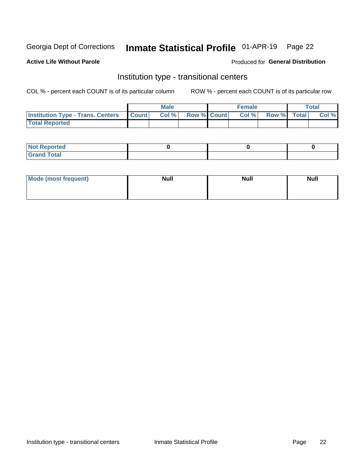#### Inmate Statistical Profile 01-APR-19 Page 22

### **Active Life Without Parole**

#### Produced for General Distribution

## Institution type - transitional centers

COL % - percent each COUNT is of its particular column

|                                          |              | <b>Male</b> |             | <b>Female</b> |             | <b>Total</b> |
|------------------------------------------|--------------|-------------|-------------|---------------|-------------|--------------|
| <b>Institution Type - Trans. Centers</b> | <b>Count</b> | Col %       | Row % Count | Col %         | Row % Total | Col %        |
| <b>Total Reported</b>                    |              |             |             |               |             |              |

| <b>Reported</b><br><b>NOT</b><br>$\sim$            |  |  |
|----------------------------------------------------|--|--|
| $f$ $f \circ f \circ f$<br>$C = 1$<br><b>TULAI</b> |  |  |

| Mode (most frequent) | <b>Null</b> | <b>Null</b> | <b>Null</b> |
|----------------------|-------------|-------------|-------------|
|                      |             |             |             |
|                      |             |             |             |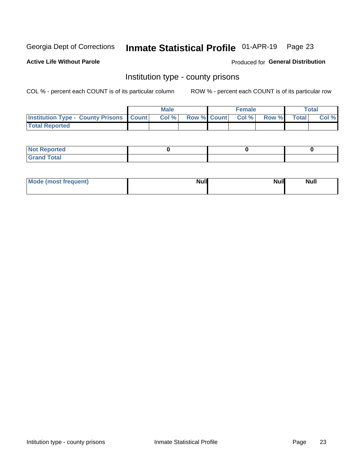## Inmate Statistical Profile 01-APR-19 Page 23

**Active Life Without Parole** 

Produced for General Distribution

### Institution type - county prisons

COL % - percent each COUNT is of its particular column

|                                                    | <b>Male</b> |       |  | <b>Female</b> |                          |             | <b>Total</b> |       |
|----------------------------------------------------|-------------|-------|--|---------------|--------------------------|-------------|--------------|-------|
| <b>Institution Type - County Prisons   Count  </b> |             | Col % |  |               | <b>Row % Count Col %</b> | Row % Total |              | Col % |
| <b>Total Reported</b>                              |             |       |  |               |                          |             |              |       |

| <b>Not Reported</b>   |  |  |
|-----------------------|--|--|
| <b>Total</b><br>Granc |  |  |

| Mode (most frequent) | <b>Null</b> | <b>Null</b><br><b>Null</b> |
|----------------------|-------------|----------------------------|
|                      |             |                            |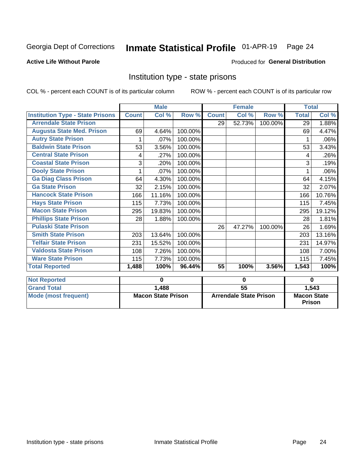## Inmate Statistical Profile 01-APR-19 Page 24

### **Active Life Without Parole**

#### Produced for General Distribution

### Institution type - state prisons

COL % - percent each COUNT is of its particular column ROW % - percent each COUNT is of its particular row

|                                         | <b>Male</b>               |        |         | <b>Female</b>                 |        |          | <b>Total</b>                        |        |
|-----------------------------------------|---------------------------|--------|---------|-------------------------------|--------|----------|-------------------------------------|--------|
| <b>Institution Type - State Prisons</b> | <b>Count</b>              | Col %  | Row %   | <b>Count</b>                  | Col %  | Row %    | <b>Total</b>                        | Col %  |
| <b>Arrendale State Prison</b>           |                           |        |         | 29                            | 52.73% | 100.00%  | 29                                  | 1.88%  |
| <b>Augusta State Med. Prison</b>        | 69                        | 4.64%  | 100.00% |                               |        |          | 69                                  | 4.47%  |
| <b>Autry State Prison</b>               |                           | .07%   | 100.00% |                               |        |          |                                     | .06%   |
| <b>Baldwin State Prison</b>             | 53                        | 3.56%  | 100.00% |                               |        |          | 53                                  | 3.43%  |
| <b>Central State Prison</b>             | 4                         | .27%   | 100.00% |                               |        |          | 4                                   | .26%   |
| <b>Coastal State Prison</b>             | 3                         | .20%   | 100.00% |                               |        |          | 3                                   | .19%   |
| <b>Dooly State Prison</b>               | 1                         | .07%   | 100.00% |                               |        |          | 1                                   | .06%   |
| <b>Ga Diag Class Prison</b>             | 64                        | 4.30%  | 100.00% |                               |        |          | 64                                  | 4.15%  |
| <b>Ga State Prison</b>                  | 32                        | 2.15%  | 100.00% |                               |        |          | 32                                  | 2.07%  |
| <b>Hancock State Prison</b>             | 166                       | 11.16% | 100.00% |                               |        |          | 166                                 | 10.76% |
| <b>Hays State Prison</b>                | 115                       | 7.73%  | 100.00% |                               |        |          | 115                                 | 7.45%  |
| <b>Macon State Prison</b>               | 295                       | 19.83% | 100.00% |                               |        |          | 295                                 | 19.12% |
| <b>Phillips State Prison</b>            | 28                        | 1.88%  | 100.00% |                               |        |          | 28                                  | 1.81%  |
| <b>Pulaski State Prison</b>             |                           |        |         | 26                            | 47.27% | 100.00%  | 26                                  | 1.69%  |
| <b>Smith State Prison</b>               | 203                       | 13.64% | 100.00% |                               |        |          | 203                                 | 13.16% |
| <b>Telfair State Prison</b>             | 231                       | 15.52% | 100.00% |                               |        |          | 231                                 | 14.97% |
| <b>Valdosta State Prison</b>            | 108                       | 7.26%  | 100.00% |                               |        |          | 108                                 | 7.00%  |
| <b>Ware State Prison</b>                | 115                       | 7.73%  | 100.00% |                               |        |          | 115                                 | 7.45%  |
| <b>Total Reported</b>                   | 1,488                     | 100%   | 96.44%  | 55                            | 100%   | 3.56%    | 1,543                               | 100%   |
| <b>Not Reported</b>                     | 0                         |        | 0       |                               |        | $\bf{0}$ |                                     |        |
| <b>Grand Total</b>                      |                           | 1,488  |         | $\overline{55}$               |        |          | 1,543                               |        |
| <b>Mode (most frequent)</b>             | <b>Macon State Prison</b> |        |         | <b>Arrendale State Prison</b> |        |          | <b>Macon State</b><br><b>Prison</b> |        |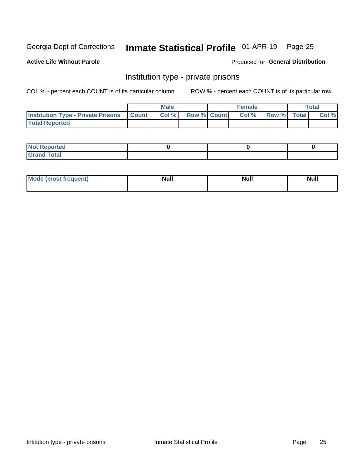## Inmate Statistical Profile 01-APR-19 Page 25

#### **Active Life Without Parole**

#### Produced for General Distribution

### Institution type - private prisons

COL % - percent each COUNT is of its particular column

|                                                 | <b>Male</b> |       |                    | <b>Female</b> |       |             | Total |       |
|-------------------------------------------------|-------------|-------|--------------------|---------------|-------|-------------|-------|-------|
| <b>Institution Type - Private Prisons Count</b> |             | Col % | <b>Row % Count</b> |               | Col % | Row % Total |       | Col % |
| <b>Total Reported</b>                           |             |       |                    |               |       |             |       |       |

| Not Reported          |  |  |
|-----------------------|--|--|
| <b>Cotal</b><br>_____ |  |  |

| <b>Mo</b><br>frequent) | <b>Null</b> | <b>Null</b> | . . I *<br><b>IVUII</b> |
|------------------------|-------------|-------------|-------------------------|
|                        |             |             |                         |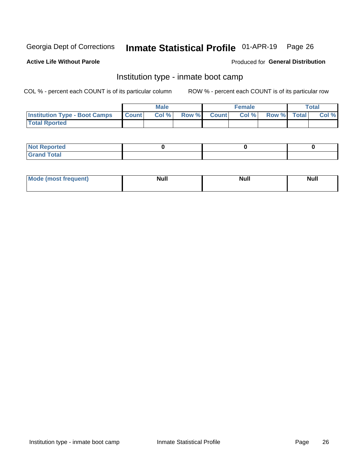## Inmate Statistical Profile 01-APR-19 Page 26

### **Active Life Without Parole**

#### Produced for General Distribution

### Institution type - inmate boot camp

COL % - percent each COUNT is of its particular column

|                                      | <b>Male</b>      |       |              | <b>Female</b> |       |             | <b>Total</b> |       |
|--------------------------------------|------------------|-------|--------------|---------------|-------|-------------|--------------|-------|
| <b>Institution Type - Boot Camps</b> | <b>I</b> Count I | Col % | <b>Row %</b> | <b>Count</b>  | Col % | Row % Total |              | Col % |
| <b>Total Rported</b>                 |                  |       |              |               |       |             |              |       |

| <b>Not Reported</b>            |  |  |
|--------------------------------|--|--|
| <b>Total</b><br>C <sub>r</sub> |  |  |

| Mod<br>uamo | Nul.<br>$- - - - - -$ | <b>Null</b> | <br>uu.<br>------ |
|-------------|-----------------------|-------------|-------------------|
|             |                       |             |                   |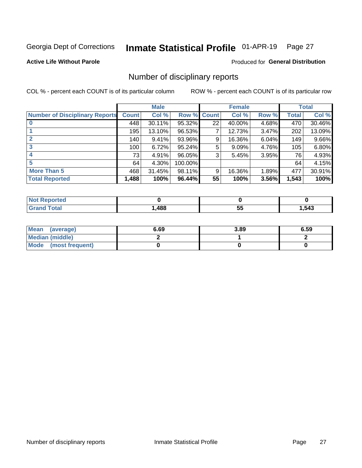#### Inmate Statistical Profile 01-APR-19 Page 27

#### **Active Life Without Parole**

#### Produced for General Distribution

### Number of disciplinary reports

COL % - percent each COUNT is of its particular column

|                                       | <b>Male</b>  |        |                    | <b>Female</b> |        |       | <b>Total</b> |        |
|---------------------------------------|--------------|--------|--------------------|---------------|--------|-------|--------------|--------|
| <b>Number of Disciplinary Reports</b> | <b>Count</b> | Col %  | <b>Row % Count</b> |               | Col %  | Row % | Total        | Col %  |
|                                       | 448          | 30.11% | 95.32%             | 22            | 40.00% | 4.68% | 470          | 30.46% |
|                                       | 195          | 13.10% | 96.53%             | 7             | 12.73% | 3.47% | 202          | 13.09% |
| $\mathbf{2}$                          | 140          | 9.41%  | 93.96%             | 9             | 16.36% | 6.04% | 149          | 9.66%  |
| 3                                     | 100          | 6.72%  | 95.24%             | 5             | 9.09%  | 4.76% | 105          | 6.80%  |
|                                       | 73           | 4.91%  | 96.05%             | 3             | 5.45%  | 3.95% | 76           | 4.93%  |
| 5                                     | 64           | 4.30%  | 100.00%            |               |        |       | 64           | 4.15%  |
| <b>More Than 5</b>                    | 468          | 31.45% | 98.11%             | 9             | 16.36% | 1.89% | 477          | 30.91% |
| <b>Total Reported</b>                 | 1,488        | 100%   | 96.44%             | 55            | 100%   | 3.56% | 1,543        | 100%   |

| NO<br>тео |      |   |      |
|-----------|------|---|------|
| Гоtal     | ,488 | ◡ | 543, |

| Mean (average)       | 6.69 | 3.89 | 6.59 |
|----------------------|------|------|------|
| Median (middle)      |      |      |      |
| Mode (most frequent) |      |      |      |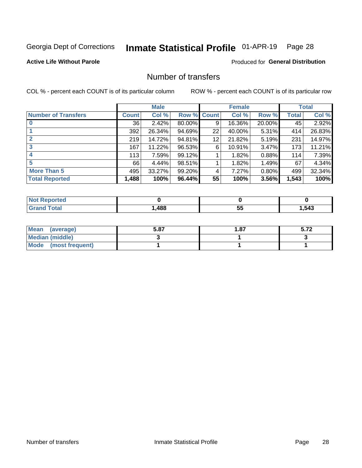## Inmate Statistical Profile 01-APR-19 Page 28

### **Active Life Without Parole**

### **Produced for General Distribution**

## Number of transfers

COL % - percent each COUNT is of its particular column

|                            |              | <b>Male</b> |             |    | <b>Female</b> |        |       | <b>Total</b> |
|----------------------------|--------------|-------------|-------------|----|---------------|--------|-------|--------------|
| <b>Number of Transfers</b> | <b>Count</b> | Col %       | Row % Count |    | Col %         | Row %  | Total | Col %        |
|                            | 36           | 2.42%       | 80.00%      | 9  | 16.36%        | 20.00% | 45    | 2.92%        |
|                            | 392          | 26.34%      | 94.69%      | 22 | 40.00%        | 5.31%  | 414   | 26.83%       |
| 2                          | 219          | 14.72%      | 94.81%      | 12 | 21.82%        | 5.19%  | 231   | 14.97%       |
| 3                          | 167          | 11.22%      | 96.53%      | 6  | 10.91%        | 3.47%  | 173   | 11.21%       |
|                            | 113          | 7.59%       | 99.12%      |    | 1.82%         | 0.88%  | 114   | 7.39%        |
| 5                          | 66           | 4.44%       | 98.51%      |    | 1.82%         | 1.49%  | 67    | 4.34%        |
| <b>More Than 5</b>         | 495          | 33.27%      | 99.20%      | 4  | 7.27%         | 0.80%  | 499   | 32.34%       |
| <b>Total Reported</b>      | 1,488        | 100%        | 96.44%      | 55 | 100%          | 3.56%  | 1,543 | 100%         |

| NO<br>тео |      |   |      |
|-----------|------|---|------|
| Гоtal     | ,488 | ◡ | 543, |

| Mean (average)       | 5.87 | 1.87 | J.IL |
|----------------------|------|------|------|
| Median (middle)      |      |      |      |
| Mode (most frequent) |      |      |      |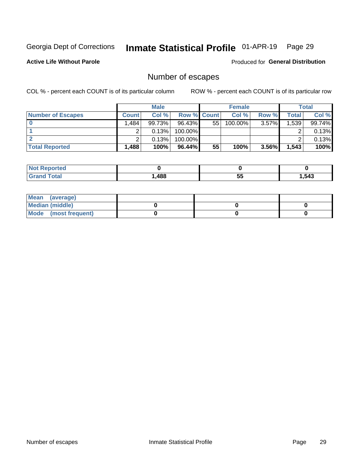## Inmate Statistical Profile 01-APR-19 Page 29

**Active Life Without Parole** 

Produced for General Distribution

## Number of escapes

COL % - percent each COUNT is of its particular column

|                          | <b>Male</b>       |        |                    | <b>Female</b> |         |          | Total |        |
|--------------------------|-------------------|--------|--------------------|---------------|---------|----------|-------|--------|
| <b>Number of Escapes</b> | <b>Count</b>      | Col %  | <b>Row % Count</b> |               | Col %   | Row %    | Total | Col %  |
|                          | 484.              | 99.73% | $96.43\%$          | 55            | 100.00% | $3.57\%$ | 1,539 | 99.74% |
|                          |                   | 0.13%  | $100.00\%$         |               |         |          |       | 0.13%  |
|                          |                   | 0.13%  | $100.00\%$         |               |         |          |       | 0.13%  |
| <b>Total Reported</b>    | .488 <sup>1</sup> | 100%   | $96.44\%$          | 55            | 100%    | 3.56%    | 1,543 | 100%   |

| <b>Reported</b><br><b>NOT</b> |      |         |      |
|-------------------------------|------|---------|------|
| <b>Total</b>                  | ,488 | --<br>◡ | .543 |

| Mean (average)         |  |  |
|------------------------|--|--|
| <b>Median (middle)</b> |  |  |
| Mode (most frequent)   |  |  |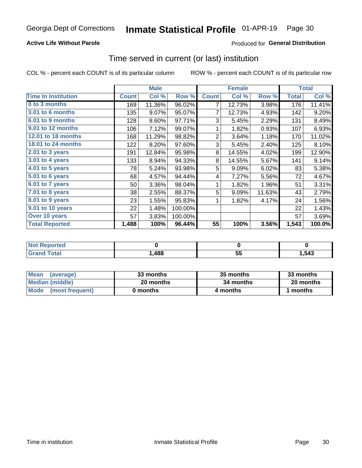### **Active Life Without Parole**

### **Produced for General Distribution**

### Time served in current (or last) institution

COL % - percent each COUNT is of its particular column

|                            |              | <b>Male</b> |         | <b>Female</b>  |        |        | <b>Total</b> |        |
|----------------------------|--------------|-------------|---------|----------------|--------|--------|--------------|--------|
| <b>Time In Institution</b> | <b>Count</b> | Col %       | Row %   | <b>Count</b>   | Col %  | Row %  | <b>Total</b> | Col %  |
| 0 to 3 months              | 169          | 11.36%      | 96.02%  | 7              | 12.73% | 3.98%  | 176          | 11.41% |
| <b>3.01 to 6 months</b>    | 135          | 9.07%       | 95.07%  | 7              | 12.73% | 4.93%  | 142          | 9.20%  |
| 6.01 to 9 months           | 128          | 8.60%       | 97.71%  | 3              | 5.45%  | 2.29%  | 131          | 8.49%  |
| 9.01 to 12 months          | 106          | 7.12%       | 99.07%  | 1              | 1.82%  | 0.93%  | 107          | 6.93%  |
| 12.01 to 18 months         | 168          | 11.29%      | 98.82%  | $\overline{2}$ | 3.64%  | 1.18%  | 170          | 11.02% |
| <b>18.01 to 24 months</b>  | 122          | 8.20%       | 97.60%  | 3              | 5.45%  | 2.40%  | 125          | 8.10%  |
| $2.01$ to 3 years          | 191          | 12.84%      | 95.98%  | 8              | 14.55% | 4.02%  | 199          | 12.90% |
| 3.01 to 4 years            | 133          | 8.94%       | 94.33%  | 8              | 14.55% | 5.67%  | 141          | 9.14%  |
| 4.01 to 5 years            | 78           | 5.24%       | 93.98%  | 5              | 9.09%  | 6.02%  | 83           | 5.38%  |
| 5.01 to 6 years            | 68           | 4.57%       | 94.44%  | 4              | 7.27%  | 5.56%  | 72           | 4.67%  |
| 6.01 to 7 years            | 50           | 3.36%       | 98.04%  | 1              | 1.82%  | 1.96%  | 51           | 3.31%  |
| 7.01 to 8 years            | 38           | 2.55%       | 88.37%  | 5              | 9.09%  | 11.63% | 43           | 2.79%  |
| 8.01 to 9 years            | 23           | 1.55%       | 95.83%  | 1              | 1.82%  | 4.17%  | 24           | 1.56%  |
| 9.01 to 10 years           | 22           | 1.48%       | 100.00% |                |        |        | 22           | 1.43%  |
| Over 10 years              | 57           | 3.83%       | 100.00% |                |        |        | 57           | 3.69%  |
| <b>Total Reported</b>      | 1,488        | 100%        | 96.44%  | 55             | 100%   | 3.56%  | 1,543        | 100.0% |

| <b>Not Reported</b> |      |                 |      |
|---------------------|------|-----------------|------|
| $F \sim 4 \sim 7$   | ,488 | - -<br>. .<br>◡ | ,543 |

| <b>Mean</b><br>(average) | 33 months | 35 months | 33 months |
|--------------------------|-----------|-----------|-----------|
| Median (middle)          | 20 months | 34 months | 20 months |
| Mode (most frequent)     | 0 months  | 4 months  | 1 months  |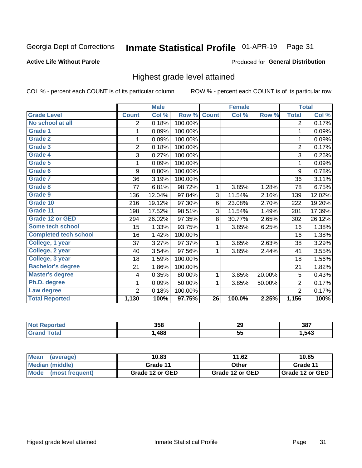#### Inmate Statistical Profile 01-APR-19 Page 31

#### **Active Life Without Parole**

#### Produced for General Distribution

### Highest grade level attained

COL % - percent each COUNT is of its particular column

|                              |                | <b>Male</b> |         |                 | <b>Female</b> |        |                | <b>Total</b> |
|------------------------------|----------------|-------------|---------|-----------------|---------------|--------|----------------|--------------|
| <b>Grade Level</b>           | <b>Count</b>   | Col %       | Row %   | <b>Count</b>    | Col %         | Row %  | <b>Total</b>   | Col %        |
| No school at all             | 2              | 0.18%       | 100.00% |                 |               |        | 2              | 0.17%        |
| <b>Grade 1</b>               | 1              | 0.09%       | 100.00% |                 |               |        | 1              | 0.09%        |
| <b>Grade 2</b>               | 1              | 0.09%       | 100.00% |                 |               |        | 1              | 0.09%        |
| <b>Grade 3</b>               | $\overline{c}$ | 0.18%       | 100.00% |                 |               |        | $\overline{c}$ | 0.17%        |
| <b>Grade 4</b>               | 3              | 0.27%       | 100.00% |                 |               |        | 3              | 0.26%        |
| Grade 5                      | 1              | 0.09%       | 100.00% |                 |               |        | 1              | 0.09%        |
| Grade 6                      | 9              | 0.80%       | 100.00% |                 |               |        | 9              | 0.78%        |
| Grade 7                      | 36             | 3.19%       | 100.00% |                 |               |        | 36             | 3.11%        |
| <b>Grade 8</b>               | 77             | 6.81%       | 98.72%  | 1               | 3.85%         | 1.28%  | 78             | 6.75%        |
| Grade 9                      | 136            | 12.04%      | 97.84%  | 3               | 11.54%        | 2.16%  | 139            | 12.02%       |
| Grade 10                     | 216            | 19.12%      | 97.30%  | 6               | 23.08%        | 2.70%  | 222            | 19.20%       |
| Grade 11                     | 198            | 17.52%      | 98.51%  | 3               | 11.54%        | 1.49%  | 201            | 17.39%       |
| <b>Grade 12 or GED</b>       | 294            | 26.02%      | 97.35%  | 8               | 30.77%        | 2.65%  | 302            | 26.12%       |
| Some tech school             | 15             | 1.33%       | 93.75%  | 1               | 3.85%         | 6.25%  | 16             | 1.38%        |
| <b>Completed tech school</b> | 16             | 1.42%       | 100.00% |                 |               |        | 16             | 1.38%        |
| College, 1 year              | 37             | 3.27%       | 97.37%  | 1               | 3.85%         | 2.63%  | 38             | 3.29%        |
| College, 2 year              | 40             | 3.54%       | 97.56%  | 1               | 3.85%         | 2.44%  | 41             | 3.55%        |
| College, 3 year              | 18             | 1.59%       | 100.00% |                 |               |        | 18             | 1.56%        |
| <b>Bachelor's degree</b>     | 21             | 1.86%       | 100.00% |                 |               |        | 21             | 1.82%        |
| <b>Master's degree</b>       | 4              | 0.35%       | 80.00%  | 1               | 3.85%         | 20.00% | 5              | 0.43%        |
| Ph.D. degree                 | 1              | 0.09%       | 50.00%  | 1               | 3.85%         | 50.00% | 2              | 0.17%        |
| Law degree                   | $\overline{2}$ | 0.18%       | 100.00% |                 |               |        | $\overline{2}$ | 0.17%        |
| <b>Total Reported</b>        | 1,130          | 100%        | 97.75%  | $\overline{26}$ | 100.0%        | 2.25%  | 1,156          | 100%         |

| rtec<br>NO | 358  | n0<br>23        | 387   |
|------------|------|-----------------|-------|
|            | .488 | - -<br>55<br>JJ | .,543 |

| <b>Mean</b><br>(average) | 10.83           | 11.62           | 10.85           |
|--------------------------|-----------------|-----------------|-----------------|
| <b>Median (middle)</b>   | Grade 11        | Other           | Grade 11        |
| Mode<br>(most frequent)  | Grade 12 or GED | Grade 12 or GED | Grade 12 or GED |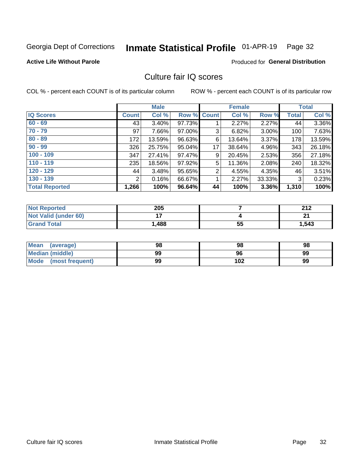#### Inmate Statistical Profile 01-APR-19 Page 32

#### **Active Life Without Parole**

### **Produced for General Distribution**

### Culture fair IQ scores

COL % - percent each COUNT is of its particular column

|                       |              | <b>Male</b> |                    |                | <b>Female</b> |          |              | <b>Total</b> |
|-----------------------|--------------|-------------|--------------------|----------------|---------------|----------|--------------|--------------|
| <b>IQ Scores</b>      | <b>Count</b> | Col %       | <b>Row % Count</b> |                | Col %         | Row %    | <b>Total</b> | Col %        |
| $60 - 69$             | 43           | $3.40\%$    | 97.73%             |                | 2.27%         | $2.27\%$ | 44           | 3.36%        |
| $70 - 79$             | 97           | 7.66%       | 97.00%             | 3              | 6.82%         | 3.00%    | 100          | 7.63%        |
| $80 - 89$             | 172          | 13.59%      | 96.63%             | 6              | 13.64%        | $3.37\%$ | 178          | 13.59%       |
| $90 - 99$             | 326          | 25.75%      | 95.04%             | 17             | 38.64%        | 4.96%    | 343          | 26.18%       |
| $100 - 109$           | 347          | 27.41%      | 97.47%             | 9              | 20.45%        | 2.53%    | 356          | 27.18%       |
| $110 - 119$           | 235          | 18.56%      | 97.92%             | 5              | 11.36%        | 2.08%    | 240          | 18.32%       |
| $120 - 129$           | 44           | 3.48%       | 95.65%             | $\overline{2}$ | 4.55%         | 4.35%    | 46           | 3.51%        |
| $130 - 139$           | 2            | 0.16%       | 66.67%             | 1              | 2.27%         | 33.33%   | 3            | 0.23%        |
| <b>Total Reported</b> | 1,266        | 100%        | 96.64%             | 44             | 100%          | 3.36%    | 1,310        | 100%         |

| <b>Not Reported</b>  | 205   |    | 242<br>ZIZ |
|----------------------|-------|----|------------|
| Not Valid (under 60) |       |    | n.         |
| <b>Grand Total</b>   | 1,488 | 55 | 1,543      |

| <b>Mean</b><br>(average) | 98 | 98  | 98 |
|--------------------------|----|-----|----|
| Median (middle)          | 99 | 96  | 99 |
| Mode (most frequent)     | 99 | 102 | 99 |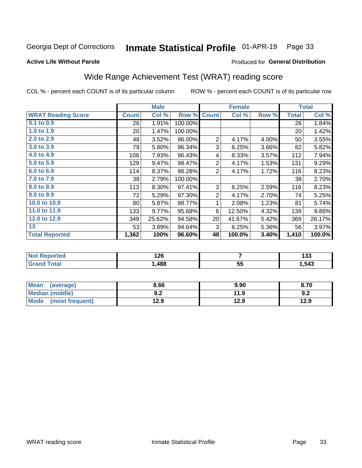#### Inmate Statistical Profile 01-APR-19 Page 33

#### **Active Life Without Parole**

#### Produced for General Distribution

## Wide Range Achievement Test (WRAT) reading score

COL % - percent each COUNT is of its particular column

|                           |              | <b>Male</b> |         |                | <b>Female</b> |       |              | <b>Total</b> |
|---------------------------|--------------|-------------|---------|----------------|---------------|-------|--------------|--------------|
| <b>WRAT Reading Score</b> | <b>Count</b> | Col %       | Row %   | <b>Count</b>   | Col %         | Row % | <b>Total</b> | Col %        |
| $0.1$ to $0.9$            | 26           | 1.91%       | 100.00% |                |               |       | 26           | 1.84%        |
| 1.0 to 1.9                | 20           | 1.47%       | 100.00% |                |               |       | 20           | 1.42%        |
| 2.0 to 2.9                | 48           | 3.52%       | 96.00%  | $\overline{2}$ | 4.17%         | 4.00% | 50           | 3.55%        |
| 3.0 to 3.9                | 79           | 5.80%       | 96.34%  | 3              | 6.25%         | 3.66% | 82           | 5.82%        |
| 4.0 to 4.9                | 108          | 7.93%       | 96.43%  | 4              | 8.33%         | 3.57% | 112          | 7.94%        |
| 5.0 to 5.9                | 129          | 9.47%       | 98.47%  | $\overline{2}$ | 4.17%         | 1.53% | 131          | 9.29%        |
| 6.0 to 6.9                | 114          | 8.37%       | 98.28%  | 2              | 4.17%         | 1.72% | 116          | 8.23%        |
| 7.0 to 7.9                | 38           | 2.79%       | 100.00% |                |               |       | 38           | 2.70%        |
| 8.0 to 8.9                | 113          | 8.30%       | 97.41%  | 3              | 6.25%         | 2.59% | 116          | 8.23%        |
| 9.0 to 9.9                | 72           | 5.29%       | 97.30%  | $\overline{2}$ | 4.17%         | 2.70% | 74           | 5.25%        |
| 10.0 to 10.9              | 80           | 5.87%       | 98.77%  | 1              | 2.08%         | 1.23% | 81           | 5.74%        |
| 11.0 to 11.9              | 133          | 9.77%       | 95.68%  | 6              | 12.50%        | 4.32% | 139          | $9.86\%$     |
| 12.0 to 12.9              | 349          | 25.62%      | 94.58%  | 20             | 41.67%        | 5.42% | 369          | 26.17%       |
| 13                        | 53           | 3.89%       | 94.64%  | 3              | 6.25%         | 5.36% | 56           | 3.97%        |
| <b>Total Reported</b>     | 1,362        | 100%        | 96.60%  | 48             | 100.0%        | 3.40% | 1,410        | 100.0%       |
|                           |              |             |         |                |               |       |              |              |

| <b>Not Reported</b>   | 126   |          | .<br>טטו |
|-----------------------|-------|----------|----------|
| <b>Total</b><br>Grand | .,488 | БF<br>JJ | ,543     |

| Mean (average)         | 8.66       | 9.90 | 8.70 |
|------------------------|------------|------|------|
| <b>Median (middle)</b> | י ה<br>Y.Z | 11.9 | 9.2  |
| Mode (most frequent)   | 12.9       | 12.9 | 12.9 |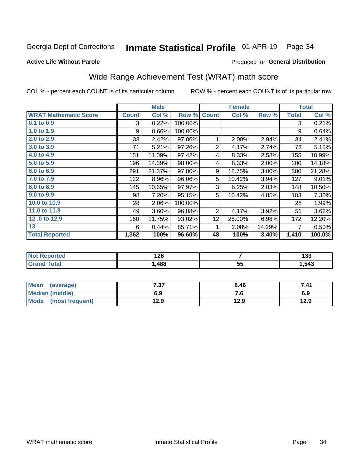#### Inmate Statistical Profile 01-APR-19 Page 34

#### **Active Life Without Parole**

### Produced for General Distribution

## Wide Range Achievement Test (WRAT) math score

COL % - percent each COUNT is of its particular column

|                              | <b>Male</b>  |        |         |                | <b>Female</b> | <b>Total</b> |              |        |
|------------------------------|--------------|--------|---------|----------------|---------------|--------------|--------------|--------|
| <b>WRAT Mathematic Score</b> | <b>Count</b> | Col %  | Row %   | <b>Count</b>   | Col %         | Row %        | <b>Total</b> | Col %  |
| $0.1$ to $0.9$               | 3            | 0.22%  | 100.00% |                |               |              | 3            | 0.21%  |
| 1.0 to 1.9                   | 9            | 0.66%  | 100.00% |                |               |              | 9            | 0.64%  |
| 2.0 to 2.9                   | 33           | 2.42%  | 97.06%  | 1              | 2.08%         | 2.94%        | 34           | 2.41%  |
| 3.0 to 3.9                   | 71           | 5.21%  | 97.26%  | $\overline{2}$ | 4.17%         | 2.74%        | 73           | 5.18%  |
| 4.0 to 4.9                   | 151          | 11.09% | 97.42%  | 4              | 8.33%         | 2.58%        | 155          | 10.99% |
| 5.0 to 5.9                   | 196          | 14.39% | 98.00%  | 4              | 8.33%         | 2.00%        | 200          | 14.18% |
| 6.0 to 6.9                   | 291          | 21.37% | 97.00%  | 9              | 18.75%        | 3.00%        | 300          | 21.28% |
| 7.0 to 7.9                   | 122          | 8.96%  | 96.06%  | 5              | 10.42%        | 3.94%        | 127          | 9.01%  |
| 8.0 to 8.9                   | 145          | 10.65% | 97.97%  | 3              | 6.25%         | 2.03%        | 148          | 10.50% |
| 9.0 to 9.9                   | 98           | 7.20%  | 95.15%  | 5              | 10.42%        | 4.85%        | 103          | 7.30%  |
| 10.0 to 10.9                 | 28           | 2.06%  | 100.00% |                |               |              | 28           | 1.99%  |
| 11.0 to 11.9                 | 49           | 3.60%  | 96.08%  | 2              | 4.17%         | 3.92%        | 51           | 3.62%  |
| 12.0 to 12.9                 | 160          | 11.75% | 93.02%  | 12             | 25.00%        | 6.98%        | 172          | 12.20% |
| 13                           | 6            | 0.44%  | 85.71%  | 1              | 2.08%         | 14.29%       | 7            | 0.50%  |
| <b>Total Reported</b>        | 1,362        | 100%   | 96.60%  | 48             | 100%          | 3.40%        | 1,410        | 100.0% |
|                              |              |        |         |                |               |              |              |        |

| <b>Not Reported</b> | 126  |         | .<br>ניט |
|---------------------|------|---------|----------|
| <b>Total</b>        | ,488 | 55<br>◡ | .543     |

| <b>Mean</b><br>(average)       | 7.27<br>יכי | 8.46 | 7.41 |
|--------------------------------|-------------|------|------|
| Median (middle)                | 6.9         | 7. U | 6.9  |
| <b>Mode</b><br>(most frequent) | 12.9        | 12.9 | 12.9 |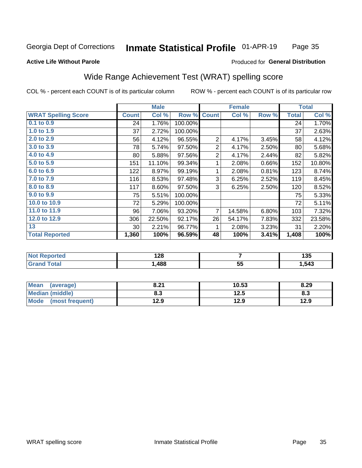#### **Inmate Statistical Profile 01-APR-19** Page 35

### **Active Life Without Parole**

#### Produced for General Distribution

## Wide Range Achievement Test (WRAT) spelling score

COL % - percent each COUNT is of its particular column

|                            |              | <b>Male</b> |         |                | <b>Female</b>  |       |              | <b>Total</b> |
|----------------------------|--------------|-------------|---------|----------------|----------------|-------|--------------|--------------|
| <b>WRAT Spelling Score</b> | <b>Count</b> | Col %       | Row %   | <b>Count</b>   | Col %          | Row % | <b>Total</b> | Col %        |
| 0.1 to 0.9                 | 24           | 1.76%       | 100.00% |                |                |       | 24           | 1.70%        |
| 1.0 to 1.9                 | 37           | 2.72%       | 100.00% |                |                |       | 37           | 2.63%        |
| 2.0 to 2.9                 | 56           | 4.12%       | 96.55%  | $\overline{2}$ | 4.17%          | 3.45% | 58           | 4.12%        |
| 3.0 to 3.9                 | 78           | 5.74%       | 97.50%  | $\overline{2}$ | 4.17%          | 2.50% | 80           | 5.68%        |
| 4.0 to 4.9                 | 80           | 5.88%       | 97.56%  | $\overline{2}$ | 4.17%          | 2.44% | 82           | 5.82%        |
| 5.0 to 5.9                 | 151          | 11.10%      | 99.34%  | 1              | 2.08%          | 0.66% | 152          | 10.80%       |
| 6.0 to 6.9                 | 122          | 8.97%       | 99.19%  | 1              | 2.08%          | 0.81% | 123          | 8.74%        |
| 7.0 to 7.9                 | 116          | 8.53%       | 97.48%  | 3              | 6.25%          | 2.52% | 119          | 8.45%        |
| 8.0 to 8.9                 | 117          | 8.60%       | 97.50%  | 3              | 6.25%          | 2.50% | 120          | 8.52%        |
| 9.0 to 9.9                 | 75           | 5.51%       | 100.00% |                |                |       | 75           | 5.33%        |
| 10.0 to 10.9               | 72           | 5.29%       | 100.00% |                |                |       | 72           | 5.11%        |
| 11.0 to $11.9$             | 96           | 7.06%       | 93.20%  | $\overline{7}$ | 14.58%         | 6.80% | 103          | 7.32%        |
| 12.0 to 12.9               | 306          | 22.50%      | 92.17%  | 26             | 54.17%         | 7.83% | 332          | 23.58%       |
| 13                         | 30           | 2.21%       | 96.77%  | 1              | 2.08%          | 3.23% | 31           | 2.20%        |
| <b>Total Reported</b>      | 1,360        | 100%        | 96.59%  | 48             | 100%           | 3.41% | 1,408        | 100%         |
|                            |              |             |         |                |                |       |              |              |
| <b>Not Reported</b>        |              | 128         |         |                | $\overline{7}$ |       |              | 135          |
| <b>Grand Total</b>         |              | 1,488       |         |                | 55             |       |              | 1,543        |

| Mean<br>(average)      | 8.21       | 10.53 | 8.29 |
|------------------------|------------|-------|------|
| <b>Median (middle)</b> | מ ס<br>o.J | 12.5  | ი.ა  |
| Mode (most frequent)   | 12.9       | 12.9  | 12.9 |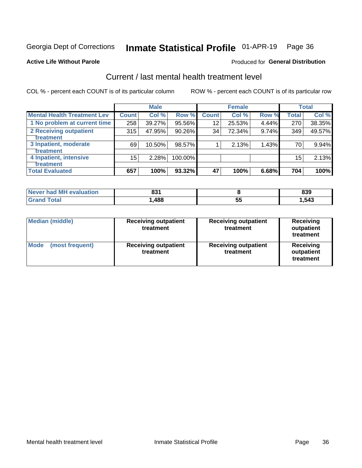## Inmate Statistical Profile 01-APR-19 Page 36

#### **Active Life Without Parole**

#### Produced for General Distribution

## Current / last mental health treatment level

COL % - percent each COUNT is of its particular column

|                                    |              | <b>Male</b> |         |              | <b>Female</b> |       |       | <b>Total</b> |
|------------------------------------|--------------|-------------|---------|--------------|---------------|-------|-------|--------------|
| <b>Mental Health Treatment Lev</b> | <b>Count</b> | Col %       | Row %   | <b>Count</b> | Col %         | Row % | Total | Col %        |
| 1 No problem at current time       | 258          | 39.27%      | 95.56%  | 12           | 25.53%        | 4.44% | 270   | 38.35%       |
| 2 Receiving outpatient             | 315          | 47.95%      | 90.26%  | 34           | 72.34%        | 9.74% | 349   | 49.57%       |
| <b>Treatment</b>                   |              |             |         |              |               |       |       |              |
| 3 Inpatient, moderate              | 69           | 10.50%      | 98.57%  |              | 2.13%         | 1.43% | 70 l  | 9.94%        |
| <b>Treatment</b>                   |              |             |         |              |               |       |       |              |
| 4 Inpatient, intensive             | $15\,$       | 2.28%       | 100.00% |              |               |       | 15    | 2.13%        |
| Treatment                          |              |             |         |              |               |       |       |              |
| <b>Total Evaluated</b>             | 657          | 100%        | 93.32%  | 47           | 100%          | 6.68% | 704   | 100%         |

| Never had MH evaluation | 094<br>. co |    | 839   |
|-------------------------|-------------|----|-------|
| Total                   | .,488       | JJ | 1.543 |

| <b>Median (middle)</b><br><b>Receiving outpatient</b><br>treatment |                                          | <b>Receiving outpatient</b><br>treatment | <b>Receiving</b><br>outpatient<br>treatment |
|--------------------------------------------------------------------|------------------------------------------|------------------------------------------|---------------------------------------------|
| <b>Mode</b><br>(most frequent)                                     | <b>Receiving outpatient</b><br>treatment | <b>Receiving outpatient</b><br>treatment | <b>Receiving</b><br>outpatient<br>treatment |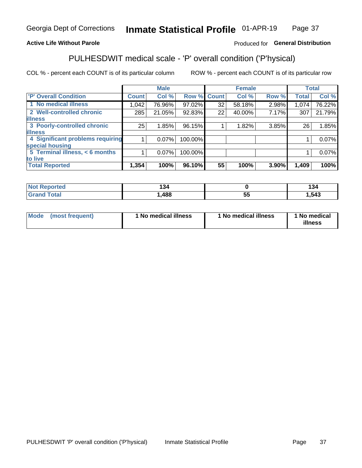#### Inmate Statistical Profile 01-APR-19 Page 37

### **Active Life Without Parole**

### Produced for General Distribution

## PULHESDWIT medical scale - 'P' overall condition ('P'hysical)

COL % - percent each COUNT is of its particular column

|                                  |              | <b>Male</b> |             |    | <b>Female</b> |       |              | <b>Total</b> |
|----------------------------------|--------------|-------------|-------------|----|---------------|-------|--------------|--------------|
| 'P' Overall Condition            | <b>Count</b> | Col %       | Row % Count |    | Col %         | Row % | <b>Total</b> | Col %        |
| 1 No medical illness             | 1,042        | 76.96%      | 97.02%      | 32 | 58.18%        | 2.98% | 1,074        | 76.22%       |
| 2 Well-controlled chronic        | 285          | 21.05%      | 92.83%      | 22 | 40.00%        | 7.17% | 307          | 21.79%       |
| <b>lillness</b>                  |              |             |             |    |               |       |              |              |
| 3 Poorly-controlled chronic      | 25           | 1.85%       | 96.15%      |    | 1.82%         | 3.85% | 26           | 1.85%        |
| <b>illness</b>                   |              |             |             |    |               |       |              |              |
| 4 Significant problems requiring |              | $0.07\%$    | 100.00%     |    |               |       |              | 0.07%        |
| special housing                  |              |             |             |    |               |       |              |              |
| 5 Terminal illness, < 6 months   |              | 0.07%       | 100.00%     |    |               |       |              | 0.07%        |
| to live                          |              |             |             |    |               |       |              |              |
| <b>Total Reported</b>            | 1,354        | 100%        | 96.10%      | 55 | 100%          | 3.90% | 1,409        | 100%         |

| rtea<br>ени<br>.          | 494<br>134 |    | 134  |
|---------------------------|------------|----|------|
| $F_{\alpha}$ ial<br>_____ | 488        | JJ | ,543 |

|  |  | Mode (most frequent) | 1 No medical illness | 1 No medical illness | 1 No medical<br>illness |
|--|--|----------------------|----------------------|----------------------|-------------------------|
|--|--|----------------------|----------------------|----------------------|-------------------------|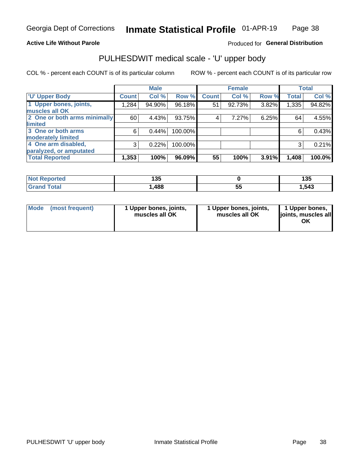### **Active Life Without Parole**

### Produced for General Distribution

## PULHESDWIT medical scale - 'U' upper body

COL % - percent each COUNT is of its particular column

|                              |              | <b>Male</b> |           |              | <b>Female</b> |       |              | <b>Total</b> |
|------------------------------|--------------|-------------|-----------|--------------|---------------|-------|--------------|--------------|
| <b>'U' Upper Body</b>        | <b>Count</b> | Col %       | Row %     | <b>Count</b> | Col %         | Row % | <b>Total</b> | Col %        |
| 1 Upper bones, joints,       | 1,284        | 94.90%      | $96.18\%$ | 51           | 92.73%        | 3.82% | 1,335        | 94.82%       |
| muscles all OK               |              |             |           |              |               |       |              |              |
| 2 One or both arms minimally | 60           | 4.43%       | 93.75%    | 4            | 7.27%         | 6.25% | 64           | 4.55%        |
| limited                      |              |             |           |              |               |       |              |              |
| 3 One or both arms           | 6            | 0.44%       | 100.00%   |              |               |       | 6            | 0.43%        |
| <b>moderately limited</b>    |              |             |           |              |               |       |              |              |
| 4 One arm disabled,          | 3            | 0.22%       | 100.00%   |              |               |       | 3            | 0.21%        |
| paralyzed, or amputated      |              |             |           |              |               |       |              |              |
| <b>Total Reported</b>        | 1,353        | 100%        | 96.09%    | 55           | 100%          | 3.91% | 1,408        | 100.0%       |

| <b>Not Reported</b> | ィマに<br>טטו |          | 4 M F<br>טט ו |
|---------------------|------------|----------|---------------|
| <b>Total</b>        | ,488       | --<br>JJ | .543          |

| <b>Mode</b> | (most frequent) | 1 Upper bones, joints,<br>muscles all OK | 1 Upper bones, joints,<br>muscles all OK | 1 Upper bones,<br>ljoints, muscles all<br>ОK |
|-------------|-----------------|------------------------------------------|------------------------------------------|----------------------------------------------|
|-------------|-----------------|------------------------------------------|------------------------------------------|----------------------------------------------|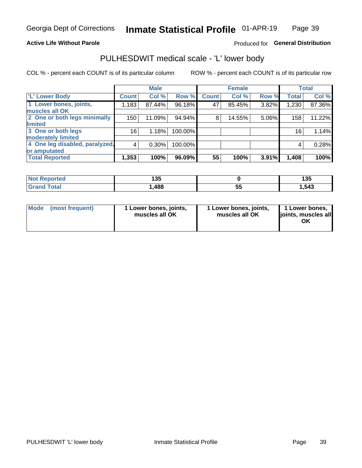### **Active Life Without Parole**

### Produced for General Distribution

## PULHESDWIT medical scale - 'L' lower body

COL % - percent each COUNT is of its particular column

|                                |                 | <b>Male</b> |         |              | <b>Female</b> |       |                 | <b>Total</b> |
|--------------------------------|-----------------|-------------|---------|--------------|---------------|-------|-----------------|--------------|
| 'L' Lower Body                 | <b>Count</b>    | Col %       | Row %   | <b>Count</b> | Col %         | Row % | <b>Total</b>    | Col %        |
| 1 Lower bones, joints,         | 1,183           | 87.44%      | 96.18%  | 47           | 85.45%        | 3.82% | 1,230           | 87.36%       |
| muscles all OK                 |                 |             |         |              |               |       |                 |              |
| 2 One or both legs minimally   | 150             | 11.09%      | 94.94%  | 8            | 14.55%        | 5.06% | 158             | 11.22%       |
| limited                        |                 |             |         |              |               |       |                 |              |
| 3 One or both legs             | 16 <sub>1</sub> | 1.18%       | 100.00% |              |               |       | 16 <sub>1</sub> | 1.14%        |
| moderately limited             |                 |             |         |              |               |       |                 |              |
| 4 One leg disabled, paralyzed, | $\overline{4}$  | 0.30%       | 100.00% |              |               |       | 4               | 0.28%        |
| or amputated                   |                 |             |         |              |               |       |                 |              |
| <b>Total Reported</b>          | 1,353           | 100%        | 96.09%  | 55           | 100%          | 3.91% | 1,408           | 100%         |

| <b>Not Reported</b> | 125<br>טטו |    | 1 9 E<br>טטו |
|---------------------|------------|----|--------------|
| <b>Grand Total</b>  | ,488       | vu | 543. ا       |

|  | Mode (most frequent) | 1 Lower bones, joints,<br>muscles all OK | 1 Lower bones, joints,<br>muscles all OK | 1 Lower bones,<br>joints, muscles all<br>ΟK |
|--|----------------------|------------------------------------------|------------------------------------------|---------------------------------------------|
|--|----------------------|------------------------------------------|------------------------------------------|---------------------------------------------|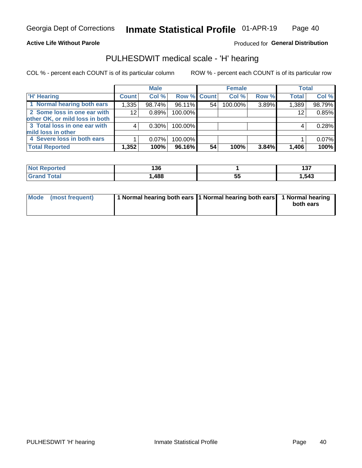#### **Active Life Without Parole**

Produced for General Distribution

### PULHESDWIT medical scale - 'H' hearing

COL % - percent each COUNT is of its particular column

|                                | <b>Male</b>  |          | <b>Female</b> |    |         | <b>Total</b> |              |        |
|--------------------------------|--------------|----------|---------------|----|---------|--------------|--------------|--------|
| <b>H' Hearing</b>              | <b>Count</b> | Col %    | Row % Count   |    | Col %   | Row %        | <b>Total</b> | Col %  |
| 1 Normal hearing both ears     | 1,335        | 98.74%   | 96.11%        | 54 | 100.00% | 3.89%        | 1,389        | 98.79% |
| 2 Some loss in one ear with    | 12           | 0.89%    | 100.00%       |    |         |              | 12           | 0.85%  |
| other OK, or mild loss in both |              |          |               |    |         |              |              |        |
| 3 Total loss in one ear with   | 4            | 0.30%    | 100.00%       |    |         |              | 4            | 0.28%  |
| mild loss in other             |              |          |               |    |         |              |              |        |
| 4 Severe loss in both ears     |              | $0.07\%$ | 100.00%       |    |         |              |              | 0.07%  |
| <b>Total Reported</b>          | 1,352        | 100%     | 96.16%        | 54 | 100%    | 3.84%        | 1,406        | 100%   |

| <b>eported</b> | .    |           | 407   |
|----------------|------|-----------|-------|
| NO:            | l 30 |           | וטו   |
| 'otal          | 488  | . .<br>Ju | 1,543 |

| Mode (most frequent) | 1 Normal hearing both ears 1 Normal hearing both ears 1 Normal hearing | both ears |
|----------------------|------------------------------------------------------------------------|-----------|
|                      |                                                                        |           |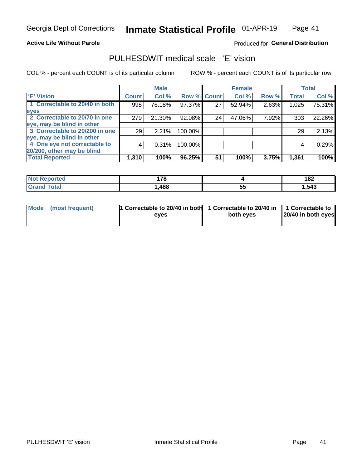### **Active Life Without Parole**

### Produced for General Distribution

### PULHESDWIT medical scale - 'E' vision

COL % - percent each COUNT is of its particular column

|                                |              | <b>Male</b> |         |              | <b>Female</b> |       |              | <b>Total</b> |
|--------------------------------|--------------|-------------|---------|--------------|---------------|-------|--------------|--------------|
| <b>E' Vision</b>               | <b>Count</b> | Col %       | Row %   | <b>Count</b> | Col %         | Row % | <b>Total</b> | Col %        |
| 1 Correctable to 20/40 in both | 998          | 76.18%      | 97.37%  | 27           | 52.94%        | 2.63% | 1,025        | 75.31%       |
| eyes                           |              |             |         |              |               |       |              |              |
| 2 Correctable to 20/70 in one  | 279          | 21.30%      | 92.08%  | 24           | 47.06%        | 7.92% | 303          | 22.26%       |
| eye, may be blind in other     |              |             |         |              |               |       |              |              |
| 3 Correctable to 20/200 in one | 29           | 2.21%       | 100.00% |              |               |       | 29           | 2.13%        |
| eye, may be blind in other     |              |             |         |              |               |       |              |              |
| 4 One eye not correctable to   | 4            | 0.31%       | 100.00% |              |               |       | 4            | 0.29%        |
| 20/200, other may be blind     |              |             |         |              |               |       |              |              |
| <b>Total Reported</b>          | 1,310        | 100%        | 96.25%  | 51           | 100%          | 3.75% | 1,361        | 100%         |

| <b>Not Reported</b> | 170  |          | 10 <sup>o</sup><br>I OZ |
|---------------------|------|----------|-------------------------|
| Total               | ,488 | --<br>ວະ | .543                    |

| Mode (most frequent) | 1 Correctable to 20/40 in both<br>eves | 1 Correctable to 20/40 in   1 Correctable to<br>both eves | 20/40 in both eyes |
|----------------------|----------------------------------------|-----------------------------------------------------------|--------------------|
|                      |                                        |                                                           |                    |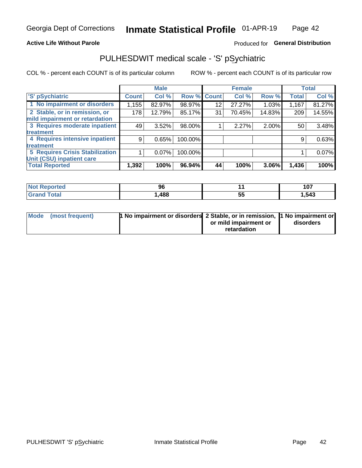### **Active Life Without Parole**

### Produced for General Distribution

## PULHESDWIT medical scale - 'S' pSychiatric

COL % - percent each COUNT is of its particular column

|                                        |              | <b>Male</b> |         |             | <b>Female</b> |        |              | <b>Total</b> |
|----------------------------------------|--------------|-------------|---------|-------------|---------------|--------|--------------|--------------|
| 'S' pSychiatric                        | <b>Count</b> | Col %       |         | Row % Count | Col %         | Row %  | <b>Total</b> | Col %        |
| 1 No impairment or disorders           | 1,155        | 82.97%      | 98.97%  | 12          | 27.27%        | 1.03%  | 1,167        | 81.27%       |
| 2 Stable, or in remission, or          | 178          | 12.79%      | 85.17%  | 31          | 70.45%        | 14.83% | 209          | 14.55%       |
| mild impairment or retardation         |              |             |         |             |               |        |              |              |
| 3 Requires moderate inpatient          | 49           | 3.52%       | 98.00%  |             | 2.27%         | 2.00%  | 50           | 3.48%        |
| treatment                              |              |             |         |             |               |        |              |              |
| 4 Requires intensive inpatient         | 9            | 0.65%       | 100.00% |             |               |        | 9            | 0.63%        |
| treatment                              |              |             |         |             |               |        |              |              |
| <b>5 Requires Crisis Stabilization</b> |              | $0.07\%$    | 100.00% |             |               |        |              | 0.07%        |
| Unit (CSU) inpatient care              |              |             |         |             |               |        |              |              |
| <b>Total Reported</b>                  | 1,392        | 100%        | 96.94%  | 44          | 100%          | 3.06%  | 1,436        | 100%         |

| <b>Not Reported</b> | 96  |   | 107   |
|---------------------|-----|---|-------|
| <b>Grand Total</b>  | 488 | ◡ | 1,543 |

| Mode (most frequent) | <b>1 No impairment or disorders</b> 2 Stable, or in remission, 11 No impairment or |                       |           |
|----------------------|------------------------------------------------------------------------------------|-----------------------|-----------|
|                      |                                                                                    | or mild impairment or | disorders |
|                      |                                                                                    | retardation           |           |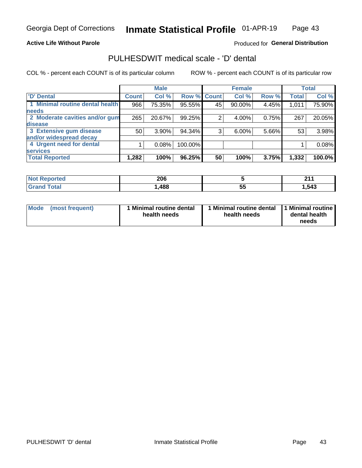### **Active Life Without Parole**

### Produced for General Distribution

## PULHESDWIT medical scale - 'D' dental

COL % - percent each COUNT is of its particular column

|                                 |              | <b>Male</b> |             |    | <b>Female</b> |       |              | <b>Total</b> |
|---------------------------------|--------------|-------------|-------------|----|---------------|-------|--------------|--------------|
| <b>D'</b> Dental                | <b>Count</b> | Col %       | Row % Count |    | Col %         | Row % | <b>Total</b> | Col %        |
| 1 Minimal routine dental health | 966          | 75.35%      | 95.55%      | 45 | 90.00%        | 4.45% | 1,011        | 75.90%       |
| <b>needs</b>                    |              |             |             |    |               |       |              |              |
| 2 Moderate cavities and/or gum  | 265          | 20.67%      | 99.25%      | 2  | 4.00%         | 0.75% | 267          | 20.05%       |
| disease                         |              |             |             |    |               |       |              |              |
| 3 Extensive gum disease         | 50           | 3.90%       | 94.34%      | 3  | 6.00%         | 5.66% | 53           | 3.98%        |
| and/or widespread decay         |              |             |             |    |               |       |              |              |
| 4 Urgent need for dental        |              | 0.08%       | 100.00%     |    |               |       |              | 0.08%        |
| <b>services</b>                 |              |             |             |    |               |       |              |              |
| <b>Total Reported</b>           | 1,282        | 100%        | 96.25%      | 50 | 100%          | 3.75% | 1,332        | 100.0%       |

| orted<br>NOT RADO<br>. | 206  |         | 24<br>. |
|------------------------|------|---------|---------|
| <b>Total</b>           | ,488 | --<br>◡ | .543    |

| <b>Mode</b> | (most frequent) | <b>Minimal routine dental</b><br>health needs | 1 Minimal routine dental 1 Minimal routine<br>health needs | dental health<br>needs |
|-------------|-----------------|-----------------------------------------------|------------------------------------------------------------|------------------------|
|-------------|-----------------|-----------------------------------------------|------------------------------------------------------------|------------------------|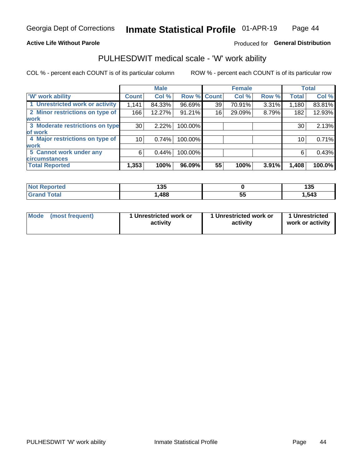### **Active Life Without Parole**

### Produced for General Distribution

### PULHESDWIT medical scale - 'W' work ability

COL % - percent each COUNT is of its particular column

|                                 |                 | <b>Male</b> |         |             | <b>Female</b> |       |              | <b>Total</b> |
|---------------------------------|-----------------|-------------|---------|-------------|---------------|-------|--------------|--------------|
| <b>W' work ability</b>          | <b>Count</b>    | Col %       |         | Row % Count | Col %         | Row % | <b>Total</b> | Col %        |
| 1 Unrestricted work or activity | 1,141           | 84.33%      | 96.69%  | 39          | 70.91%        | 3.31% | 1,180        | 83.81%       |
| 2 Minor restrictions on type of | 166             | 12.27%      | 91.21%  | 16          | 29.09%        | 8.79% | 182          | 12.93%       |
| <b>work</b>                     |                 |             |         |             |               |       |              |              |
| 3 Moderate restrictions on type | 30              | 2.22%       | 100.00% |             |               |       | 30           | 2.13%        |
| lof work                        |                 |             |         |             |               |       |              |              |
| 4 Major restrictions on type of | 10 <sup>1</sup> | 0.74%       | 100.00% |             |               |       | 10           | 0.71%        |
| <b>work</b>                     |                 |             |         |             |               |       |              |              |
| 5 Cannot work under any         | 6               | 0.44%       | 100.00% |             |               |       | 6            | 0.43%        |
| <b>circumstances</b>            |                 |             |         |             |               |       |              |              |
| <b>Total Reported</b>           | 1,353           | 100%        | 96.09%  | 55          | 100%          | 3.91% | 1,408        | 100.0%       |

| <b>Not Reported</b>  | 125<br>טטו |          | 12F<br>1 J J |
|----------------------|------------|----------|--------------|
| <b>Total</b><br>Cron | ,488       | --<br>v. | 543. ا       |

| Mode (most frequent) | 1 Unrestricted work or | 1 Unrestricted work or | 1 Unrestricted   |
|----------------------|------------------------|------------------------|------------------|
|                      | activity               | activity               | work or activity |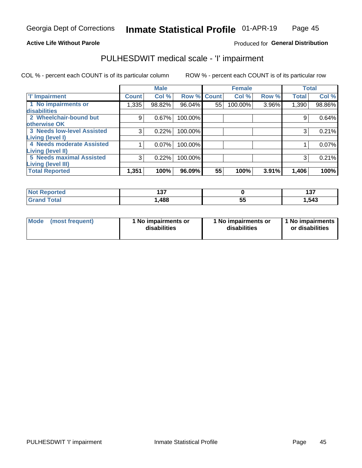### **Active Life Without Parole**

### Produced for General Distribution

## PULHESDWIT medical scale - 'I' impairment

COL % - percent each COUNT is of its particular column ROW % - percent each COUNT is of its particular row

|                                   |              | <b>Male</b> |             |    | <b>Female</b> |       |              | <b>Total</b> |
|-----------------------------------|--------------|-------------|-------------|----|---------------|-------|--------------|--------------|
| <b>T' Impairment</b>              | <b>Count</b> | Col %       | Row % Count |    | Col %         | Row % | <b>Total</b> | Col %        |
| 1 No impairments or               | 1,335        | 98.82%      | 96.04%      | 55 | 100.00%       | 3.96% | 1,390        | 98.86%       |
| <b>disabilities</b>               |              |             |             |    |               |       |              |              |
| 2 Wheelchair-bound but            | 9            | 0.67%       | 100.00%     |    |               |       | 9            | 0.64%        |
| otherwise OK                      |              |             |             |    |               |       |              |              |
| <b>3 Needs low-level Assisted</b> | 3            | 0.22%       | 100.00%     |    |               |       | 3            | 0.21%        |
| Living (level I)                  |              |             |             |    |               |       |              |              |
| 4 Needs moderate Assisted         |              | 0.07%       | 100.00%     |    |               |       |              | 0.07%        |
| Living (level II)                 |              |             |             |    |               |       |              |              |
| <b>5 Needs maximal Assisted</b>   | 3            | 0.22%       | 100.00%     |    |               |       | 3            | 0.21%        |
| <b>Living (level III)</b>         |              |             |             |    |               |       |              |              |
| <b>Total Reported</b>             | 1,351        | 100%        | 96.09%      | 55 | 100%          | 3.91% | 1,406        | 100%         |

| Reported     | "<br>1 J I |    | --<br>1 J I |
|--------------|------------|----|-------------|
| <b>Total</b> | ,488       | JJ | 1,543       |

| Mode | (most frequent) | 1 No impairments or<br>disabilities | 1 No impairments or<br>disabilities | 1 No impairments<br>or disabilities |
|------|-----------------|-------------------------------------|-------------------------------------|-------------------------------------|
|------|-----------------|-------------------------------------|-------------------------------------|-------------------------------------|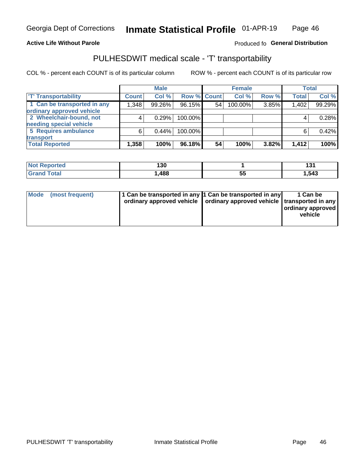#### **Active Life Without Parole**

### Produced fo General Distribution

## PULHESDWIT medical scale - 'T' transportability

COL % - percent each COUNT is of its particular column

|                             |              | <b>Male</b> |             |    | <b>Female</b> |       |              | <b>Total</b> |
|-----------------------------|--------------|-------------|-------------|----|---------------|-------|--------------|--------------|
| <b>TT Transportability</b>  | <b>Count</b> | Col %       | Row % Count |    | Col %         | Row % | <b>Total</b> | Col %        |
| 1 Can be transported in any | 1,348        | 99.26%      | 96.15%      | 54 | 100.00%       | 3.85% | 1,402        | 99.29%       |
| ordinary approved vehicle   |              |             |             |    |               |       |              |              |
| 2 Wheelchair-bound, not     |              | 0.29%       | 100.00%     |    |               |       |              | 0.28%        |
| needing special vehicle     |              |             |             |    |               |       |              |              |
| 5 Requires ambulance        | 6            | 0.44%       | 100.00%     |    |               |       |              | 0.42%        |
| transport                   |              |             |             |    |               |       |              |              |
| <b>Total Reported</b>       | 1,358        | 100%        | 96.18%      | 54 | 100%          | 3.82% | 1,412        | 100%         |

| <b>eported</b> | .<br>130 |          | 10.<br>ו טו |
|----------------|----------|----------|-------------|
| <b>otal</b>    | ,488     | --<br>JJ | 1,543       |

| Mode (most frequent) | 1 Can be transported in any 1 Can be transported in any | ordinary approved vehicle   ordinary approved vehicle   transported in any | 1 Can be<br>ordinary approved<br>vehicle |
|----------------------|---------------------------------------------------------|----------------------------------------------------------------------------|------------------------------------------|
|                      |                                                         |                                                                            |                                          |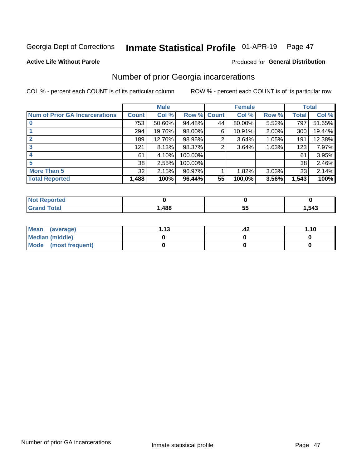#### Inmate Statistical Profile 01-APR-19 Page 47

#### **Active Life Without Parole**

### **Produced for General Distribution**

### Number of prior Georgia incarcerations

COL % - percent each COUNT is of its particular column

|                                       |       | <b>Male</b> |             |    | <b>Female</b> |          |       | <b>Total</b> |
|---------------------------------------|-------|-------------|-------------|----|---------------|----------|-------|--------------|
| <b>Num of Prior GA Incarcerations</b> | Count | Col %       | Row % Count |    | Col %         | Row %    | Total | Col %        |
| $\bf{0}$                              | 753   | 50.60%      | 94.48%      | 44 | 80.00%        | 5.52%    | 797   | 51.65%       |
|                                       | 294   | 19.76%      | $98.00\%$   | 6  | 10.91%        | $2.00\%$ | 300   | 19.44%       |
|                                       | 189   | 12.70%      | 98.95%      | 2  | 3.64%         | 1.05%    | 191   | 12.38%       |
| 3                                     | 121   | 8.13%       | 98.37%      | 2  | 3.64%         | 1.63%    | 123   | 7.97%        |
| 4                                     | 61    | 4.10%       | 100.00%     |    |               |          | 61    | 3.95%        |
| 5                                     | 38    | 2.55%       | 100.00%     |    |               |          | 38    | 2.46%        |
| <b>More Than 5</b>                    | 32    | 2.15%       | 96.97%      |    | 1.82%         | 3.03%    | 33    | 2.14%        |
| <b>Total Reported</b>                 | 1,488 | 100%        | 96.44%      | 55 | 100.0%        | 3.56%    | 1,543 | 100%         |

| orted<br>NO                      |     |          |       |
|----------------------------------|-----|----------|-------|
| <b>cotal</b><br>$\mathbf{v}$ and | 488 | . .<br>ູ | 1,543 |

| Mean (average)       | 1 1 2 | .42 | 1.10 |
|----------------------|-------|-----|------|
| Median (middle)      |       |     |      |
| Mode (most frequent) |       |     |      |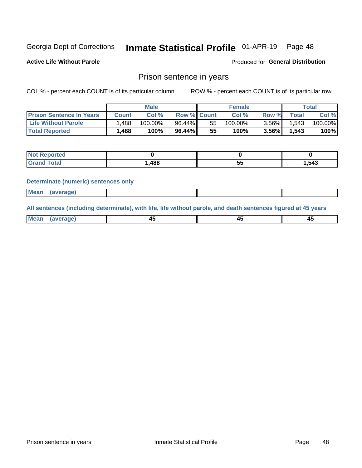#### Inmate Statistical Profile 01-APR-19 Page 48

**Active Life Without Parole** 

Produced for General Distribution

### Prison sentence in years

COL % - percent each COUNT is of its particular column

ROW % - percent each COUNT is of its particular row

|                                 | <b>Male</b>  |            |                    |    | <b>Female</b> | $\tau$ otal |              |         |
|---------------------------------|--------------|------------|--------------------|----|---------------|-------------|--------------|---------|
| <b>Prison Sentence In Years</b> | <b>Count</b> | Col %      | <b>Row % Count</b> |    | Col%          | Row %       | <b>Total</b> | Col %   |
| <b>Life Without Parole</b>      | .488         | $100.00\%$ | 96.44%             | 55 | $100.00\%$    | $3.56\%$    | 1.543        | 100.00% |
| <b>Total Reported</b>           | $ $ ,488     | 100%       | $96.44\%$          | 55 | 100%          | 3.56%       | 1,543        | 100%    |

| Reported |      |         |      |
|----------|------|---------|------|
| Total    | .488 | --<br>◡ | .543 |

#### **Determinate (numeric) sentences only**

| <b>Mean</b> | (average) |  |  |
|-------------|-----------|--|--|
|             |           |  |  |

All sentences (including determinate), with life, life without parole, and death sentences figured at 45 years

| Me<br>.<br> | -- | -- |  |
|-------------|----|----|--|
|             |    |    |  |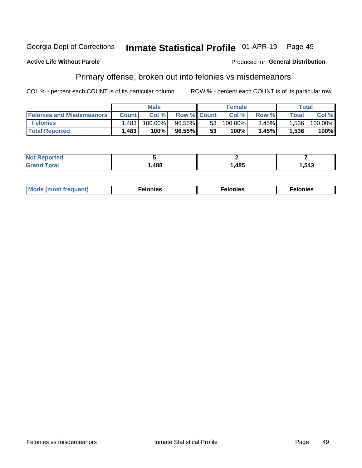#### Georgia Dept of Corrections Inmate Statistical Profile 01-APR-19 Page 49

#### **Active Life Without Parole**

#### Produced for General Distribution

### Primary offense, broken out into felonies vs misdemeanors

COL % - percent each COUNT is of its particular column

|                                  | <b>Male</b>  |         |                    | <b>Female</b>   |         |          | Total        |         |
|----------------------------------|--------------|---------|--------------------|-----------------|---------|----------|--------------|---------|
| <b>Felonies and Misdemeanors</b> | <b>Count</b> | Col%    | <b>Row % Count</b> |                 | Col%    | Row %    | <b>Total</b> | Col %   |
| <b>Felonies</b>                  | .483         | 100.00% | $96.55\%$          | 53              | 100.00% | $3.45\%$ | 1.536        | 100.00% |
| <b>Total Reported</b>            | 1,483        | $100\%$ | 96.55%             | 53 <sub>1</sub> | 100%    | 3.45%    | 1,536        | 100%    |

| <b>Not Reported</b> |      |      |       |
|---------------------|------|------|-------|
| <b>Grand Total</b>  | ,488 | ,485 | .,543 |

| <b>Mode</b><br>frequent)<br>nies<br>≧ (most tr.<br>. | onies<br>. | lonies<br>ею<br>____ |
|------------------------------------------------------|------------|----------------------|
|------------------------------------------------------|------------|----------------------|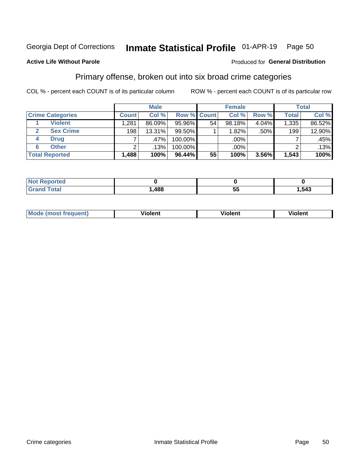#### Inmate Statistical Profile 01-APR-19 Page 50

### **Active Life Without Parole**

#### Produced for General Distribution

### Primary offense, broken out into six broad crime categories

COL % - percent each COUNT is of its particular column

|                         | <b>Male</b>  |        |           | <b>Female</b>      |        |          | <b>Total</b>     |        |
|-------------------------|--------------|--------|-----------|--------------------|--------|----------|------------------|--------|
| <b>Crime Categories</b> | <b>Count</b> | Col %  |           | <b>Row % Count</b> | Col %  | Row %    | <b>Total</b>     | Col %  |
| <b>Violent</b>          | 1,281        | 86.09% | 95.96%    | 54                 | 98.18% | $4.04\%$ | 1,335            | 86.52% |
| <b>Sex Crime</b>        | 198          | 13.31% | 99.50%    |                    | 1.82%  | $.50\%$  | 199 <sub>1</sub> | 12.90% |
| <b>Drug</b><br>4        | ⇁            | .47%   | 100.00%   |                    | .00%   |          |                  | .45%   |
| <b>Other</b><br>6       | 2            | .13%   | 100.00%   |                    | .00%   |          |                  | .13%   |
| <b>Total Reported</b>   | 1,488        | 100%   | $96.44\%$ | 55                 | 100%   | 3.56%    | 1,543            | 100%   |

| orted<br><b>NOT REPO</b> |      |           |      |
|--------------------------|------|-----------|------|
| Total                    | ,488 | --<br>JJ. | .543 |

| <b>Mode (most frequent)</b> |         |                | --             |
|-----------------------------|---------|----------------|----------------|
|                             | violent | <b>Violent</b> | <b>Violent</b> |
|                             |         |                |                |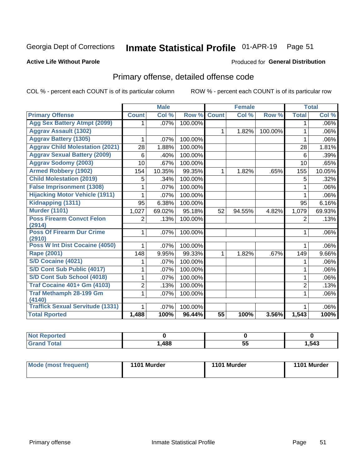#### Inmate Statistical Profile 01-APR-19 Page 51

#### **Active Life Without Parole**

#### Produced for General Distribution

## Primary offense, detailed offense code

COL % - percent each COUNT is of its particular column

|                                                   |                | <b>Male</b>                |                   |                 | <b>Female</b> |         |                | <b>Total</b>    |
|---------------------------------------------------|----------------|----------------------------|-------------------|-----------------|---------------|---------|----------------|-----------------|
| <b>Primary Offense</b>                            | <b>Count</b>   | $\overline{\text{Col }^9}$ | Row %             | <b>Count</b>    | Col %         | Row %   | <b>Total</b>   | Col %           |
| <b>Agg Sex Battery Atmpt (2099)</b>               | 1.             | .07%                       | 100.00%           |                 |               |         | 1              | $.06\%$         |
| <b>Aggrav Assault (1302)</b>                      |                |                            |                   | $\mathbf{1}$    | 1.82%         | 100.00% | 1              | .06%            |
| <b>Aggrav Battery (1305)</b>                      | 1              | .07%                       | 100.00%           |                 |               |         | 1              | .06%            |
| <b>Aggrav Child Molestation (2021)</b>            | 28             | 1.88%                      | 100.00%           |                 |               |         | 28             | 1.81%           |
| <b>Aggrav Sexual Battery (2009)</b>               | 6              | .40%                       | 100.00%           |                 |               |         | 6              | .39%            |
| <b>Aggrav Sodomy (2003)</b>                       | 10             | .67%                       | 100.00%           |                 |               |         | 10             | .65%            |
| <b>Armed Robbery (1902)</b>                       | 154            | 10.35%                     | 99.35%            | $\mathbf 1$     | 1.82%         | .65%    | 155            | 10.05%          |
| <b>Child Molestation (2019)</b>                   | 5              | .34%                       | 100.00%           |                 |               |         | 5              | .32%            |
| <b>False Imprisonment (1308)</b>                  |                | .07%                       | 100.00%           |                 |               |         |                | $.06\%$         |
| <b>Hijacking Motor Vehicle (1911)</b>             | 1              | .07%                       | 100.00%           |                 |               |         | 1              | .06%            |
| Kidnapping (1311)                                 | 95             | 6.38%                      | 100.00%           |                 |               |         | 95             | 6.16%           |
| <b>Murder (1101)</b>                              | 1,027          | 69.02%                     | 95.18%            | 52              | 94.55%        | 4.82%   | 1,079          | 69.93%          |
| <b>Poss Firearm Convct Felon</b>                  | $\overline{2}$ | .13%                       | 100.00%           |                 |               |         | $\overline{2}$ | .13%            |
| (2914)                                            |                |                            |                   |                 |               |         |                |                 |
| <b>Poss Of Firearm Dur Crime</b><br>(2910)        | $\mathbf{1}$   | .07%                       | 100.00%           |                 |               |         | 1              | $.06\%$         |
| Poss W Int Dist Cocaine (4050)                    | 1              | .07%                       | 100.00%           |                 |               |         | 1              | $.06\%$         |
| <b>Rape (2001)</b>                                | 148            | 9.95%                      | 99.33%            | $\mathbf{1}$    | 1.82%         | .67%    | 149            | 9.66%           |
| <b>S/D Cocaine (4021)</b>                         | 1              | .07%                       | 100.00%           |                 |               |         | 1              | $.06\%$         |
| S/D Cont Sub Public (4017)                        | 1              | .07%                       | 100.00%           |                 |               |         | 1              | $.06\%$         |
| S/D Cont Sub School (4018)                        | 1              | .07%                       | 100.00%           |                 |               |         | 1              | .06%            |
| <b>Traf Cocaine 401+ Gm (4103)</b>                | $\overline{2}$ | .13%                       | 100.00%           |                 |               |         | $\overline{2}$ | .13%            |
| <b>Traf Methamph 28-199 Gm</b>                    | 1              | .07%                       | 100.00%           |                 |               |         | 1              | .06%            |
| (4140)<br><b>Traffick Sexual Servitude (1331)</b> | 1              |                            |                   |                 |               |         |                |                 |
| <b>Total Rported</b>                              | 1,488          | .07%<br>100%               | 100.00%<br>96.44% | $\overline{55}$ | 100%          | 3.56%   | 1,543          | $.06\%$<br>100% |
|                                                   |                |                            |                   |                 |               |         |                |                 |

| Reported     |      |           |      |
|--------------|------|-----------|------|
| <b>Total</b> | ,488 | . .<br>J, | .543 |

| Mode (most frequent) | 1101 Murder | 1101 Murder | 1101 Murder |
|----------------------|-------------|-------------|-------------|
|                      |             |             |             |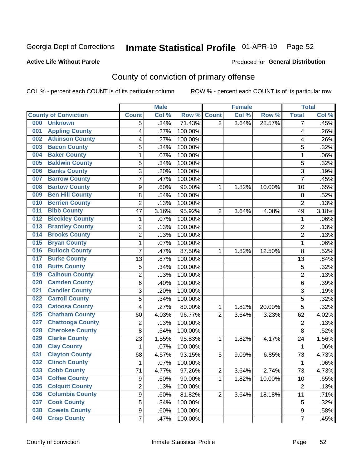## Inmate Statistical Profile 01-APR-19 Page 52

### **Active Life Without Parole**

#### Produced for General Distribution

## County of conviction of primary offense

COL % - percent each COUNT is of its particular column

|     |                             |                | <b>Male</b> |         |                | <b>Female</b> |        |                | <b>Total</b> |
|-----|-----------------------------|----------------|-------------|---------|----------------|---------------|--------|----------------|--------------|
|     | <b>County of Conviction</b> | <b>Count</b>   | Col %       | Row %   | <b>Count</b>   | Col %         | Row %  | <b>Total</b>   | Col %        |
| 000 | <b>Unknown</b>              | 5              | .34%        | 71.43%  | $\overline{2}$ | 3.64%         | 28.57% | 7              | .45%         |
| 001 | <b>Appling County</b>       | 4              | .27%        | 100.00% |                |               |        | 4              | .26%         |
| 002 | <b>Atkinson County</b>      | 4              | .27%        | 100.00% |                |               |        | 4              | .26%         |
| 003 | <b>Bacon County</b>         | 5              | .34%        | 100.00% |                |               |        | 5              | .32%         |
| 004 | <b>Baker County</b>         | $\mathbf{1}$   | .07%        | 100.00% |                |               |        | 1              | .06%         |
| 005 | <b>Baldwin County</b>       | 5              | .34%        | 100.00% |                |               |        | 5              | .32%         |
| 006 | <b>Banks County</b>         | 3              | .20%        | 100.00% |                |               |        | $\overline{3}$ | .19%         |
| 007 | <b>Barrow County</b>        | $\overline{7}$ | .47%        | 100.00% |                |               |        | $\overline{7}$ | .45%         |
| 008 | <b>Bartow County</b>        | 9              | .60%        | 90.00%  | 1              | 1.82%         | 10.00% | 10             | .65%         |
| 009 | <b>Ben Hill County</b>      | 8              | .54%        | 100.00% |                |               |        | 8              | .52%         |
| 010 | <b>Berrien County</b>       | $\overline{c}$ | .13%        | 100.00% |                |               |        | $\overline{2}$ | .13%         |
| 011 | <b>Bibb County</b>          | 47             | 3.16%       | 95.92%  | $\overline{2}$ | 3.64%         | 4.08%  | 49             | 3.18%        |
| 012 | <b>Bleckley County</b>      | $\mathbf{1}$   | .07%        | 100.00% |                |               |        | $\mathbf{1}$   | .06%         |
| 013 | <b>Brantley County</b>      | $\overline{2}$ | .13%        | 100.00% |                |               |        | $\overline{2}$ | .13%         |
| 014 | <b>Brooks County</b>        | $\overline{c}$ | .13%        | 100.00% |                |               |        | $\overline{2}$ | .13%         |
| 015 | <b>Bryan County</b>         | $\mathbf{1}$   | .07%        | 100.00% |                |               |        | $\mathbf{1}$   | .06%         |
| 016 | <b>Bulloch County</b>       | 7              | .47%        | 87.50%  | 1              | 1.82%         | 12.50% | 8              | .52%         |
| 017 | <b>Burke County</b>         | 13             | .87%        | 100.00% |                |               |        | 13             | .84%         |
| 018 | <b>Butts County</b>         | 5              | .34%        | 100.00% |                |               |        | 5              | .32%         |
| 019 | <b>Calhoun County</b>       | $\overline{c}$ | .13%        | 100.00% |                |               |        | $\overline{c}$ | .13%         |
| 020 | <b>Camden County</b>        | 6              | .40%        | 100.00% |                |               |        | 6              | .39%         |
| 021 | <b>Candler County</b>       | 3              | .20%        | 100.00% |                |               |        | 3              | .19%         |
| 022 | <b>Carroll County</b>       | 5              | .34%        | 100.00% |                |               |        | 5              | .32%         |
| 023 | <b>Catoosa County</b>       | 4              | .27%        | 80.00%  | 1              | 1.82%         | 20.00% | 5              | .32%         |
| 025 | <b>Chatham County</b>       | 60             | 4.03%       | 96.77%  | $\overline{2}$ | 3.64%         | 3.23%  | 62             | 4.02%        |
| 027 | <b>Chattooga County</b>     | $\overline{2}$ | .13%        | 100.00% |                |               |        | $\overline{2}$ | .13%         |
| 028 | <b>Cherokee County</b>      | 8              | .54%        | 100.00% |                |               |        | 8              | .52%         |
| 029 | <b>Clarke County</b>        | 23             | 1.55%       | 95.83%  | 1              | 1.82%         | 4.17%  | 24             | 1.56%        |
| 030 | <b>Clay County</b>          | $\mathbf{1}$   | .07%        | 100.00% |                |               |        | $\mathbf{1}$   | .06%         |
| 031 | <b>Clayton County</b>       | 68             | 4.57%       | 93.15%  | 5              | 9.09%         | 6.85%  | 73             | 4.73%        |
| 032 | <b>Clinch County</b>        | $\mathbf{1}$   | .07%        | 100.00% |                |               |        | 1              | .06%         |
| 033 | <b>Cobb County</b>          | 71             | 4.77%       | 97.26%  | 2              | 3.64%         | 2.74%  | 73             | 4.73%        |
| 034 | <b>Coffee County</b>        | 9              | .60%        | 90.00%  | 1              | 1.82%         | 10.00% | 10             | .65%         |
| 035 | <b>Colquitt County</b>      | $\overline{2}$ | .13%        | 100.00% |                |               |        | $\overline{2}$ | .13%         |
| 036 | <b>Columbia County</b>      | 9              | .60%        | 81.82%  | $\overline{2}$ | 3.64%         | 18.18% | 11             | .71%         |
| 037 | <b>Cook County</b>          | 5              | .34%        | 100.00% |                |               |        | 5              | .32%         |
| 038 | <b>Coweta County</b>        | 9              | .60%        | 100.00% |                |               |        | 9              | .58%         |
| 040 | <b>Crisp County</b>         | $\overline{7}$ | .47%        | 100.00% |                |               |        | $\overline{7}$ | .45%         |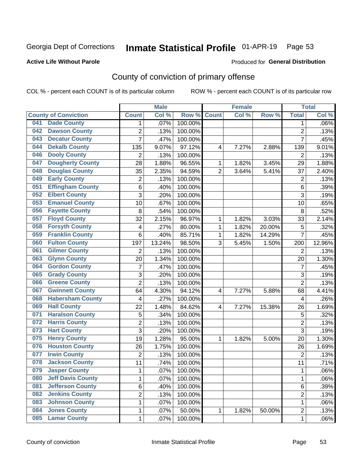## Inmate Statistical Profile 01-APR-19 Page 53

#### **Active Life Without Parole**

#### Produced for General Distribution

## County of conviction of primary offense

COL % - percent each COUNT is of its particular column

|                                 |                         | <b>Male</b> |         |                | <b>Female</b> |        |                | <b>Total</b> |
|---------------------------------|-------------------------|-------------|---------|----------------|---------------|--------|----------------|--------------|
| <b>County of Conviction</b>     | <b>Count</b>            | Col %       | Row %   | <b>Count</b>   | Col %         | Row %  | <b>Total</b>   | Col %        |
| <b>Dade County</b><br>041       | 1                       | .07%        | 100.00% |                |               |        | 1              | .06%         |
| <b>Dawson County</b><br>042     | $\overline{2}$          | .13%        | 100.00% |                |               |        | $\overline{2}$ | .13%         |
| <b>Decatur County</b><br>043    | $\overline{7}$          | .47%        | 100.00% |                |               |        | $\overline{7}$ | .45%         |
| <b>Dekalb County</b><br>044     | 135                     | 9.07%       | 97.12%  | 4              | 7.27%         | 2.88%  | 139            | 9.01%        |
| <b>Dooly County</b><br>046      | $\overline{2}$          | .13%        | 100.00% |                |               |        | $\overline{2}$ | .13%         |
| <b>Dougherty County</b><br>047  | 28                      | 1.88%       | 96.55%  | 1              | 1.82%         | 3.45%  | 29             | 1.88%        |
| <b>Douglas County</b><br>048    | 35                      | 2.35%       | 94.59%  | $\overline{2}$ | 3.64%         | 5.41%  | 37             | 2.40%        |
| <b>Early County</b><br>049      | $\overline{2}$          | .13%        | 100.00% |                |               |        | $\overline{2}$ | .13%         |
| <b>Effingham County</b><br>051  | 6                       | .40%        | 100.00% |                |               |        | 6              | .39%         |
| <b>Elbert County</b><br>052     | 3                       | .20%        | 100.00% |                |               |        | 3              | .19%         |
| <b>Emanuel County</b><br>053    | 10                      | .67%        | 100.00% |                |               |        | 10             | .65%         |
| <b>Fayette County</b><br>056    | 8                       | .54%        | 100.00% |                |               |        | 8              | .52%         |
| <b>Floyd County</b><br>057      | 32                      | 2.15%       | 96.97%  | 1              | 1.82%         | 3.03%  | 33             | 2.14%        |
| <b>Forsyth County</b><br>058    | $\overline{\mathbf{4}}$ | .27%        | 80.00%  | 1              | 1.82%         | 20.00% | 5              | .32%         |
| <b>Franklin County</b><br>059   | 6                       | .40%        | 85.71%  | 1              | 1.82%         | 14.29% | $\overline{7}$ | .45%         |
| <b>Fulton County</b><br>060     | 197                     | 13.24%      | 98.50%  | 3              | 5.45%         | 1.50%  | 200            | 12.96%       |
| <b>Gilmer County</b><br>061     | $\overline{2}$          | .13%        | 100.00% |                |               |        | $\overline{2}$ | .13%         |
| <b>Glynn County</b><br>063      | 20                      | 1.34%       | 100.00% |                |               |        | 20             | 1.30%        |
| <b>Gordon County</b><br>064     | $\overline{7}$          | .47%        | 100.00% |                |               |        | $\overline{7}$ | .45%         |
| <b>Grady County</b><br>065      | 3                       | .20%        | 100.00% |                |               |        | 3              | .19%         |
| <b>Greene County</b><br>066     | $\overline{2}$          | .13%        | 100.00% |                |               |        | $\overline{2}$ | .13%         |
| <b>Gwinnett County</b><br>067   | 64                      | 4.30%       | 94.12%  | 4              | 7.27%         | 5.88%  | 68             | 4.41%        |
| <b>Habersham County</b><br>068  | 4                       | .27%        | 100.00% |                |               |        | 4              | .26%         |
| <b>Hall County</b><br>069       | 22                      | 1.48%       | 84.62%  | $\overline{4}$ | 7.27%         | 15.38% | 26             | 1.69%        |
| <b>Haralson County</b><br>071   | 5                       | .34%        | 100.00% |                |               |        | 5              | .32%         |
| <b>Harris County</b><br>072     | $\overline{2}$          | .13%        | 100.00% |                |               |        | $\overline{2}$ | .13%         |
| <b>Hart County</b><br>073       | $\overline{3}$          | .20%        | 100.00% |                |               |        | $\overline{3}$ | .19%         |
| <b>Henry County</b><br>075      | 19                      | 1.28%       | 95.00%  | 1              | 1.82%         | 5.00%  | 20             | 1.30%        |
| <b>Houston County</b><br>076    | 26                      | 1.75%       | 100.00% |                |               |        | 26             | 1.69%        |
| <b>Irwin County</b><br>077      | $\overline{2}$          | .13%        | 100.00% |                |               |        | $\overline{2}$ | .13%         |
| <b>Jackson County</b><br>078    | 11                      | .74%        | 100.00% |                |               |        | 11             | .71%         |
| 079<br><b>Jasper County</b>     | 1                       | .07%        | 100.00% |                |               |        | 1              | .06%         |
| <b>Jeff Davis County</b><br>080 | 1                       | .07%        | 100.00% |                |               |        | $\mathbf{1}$   | .06%         |
| <b>Jefferson County</b><br>081  | 6                       | .40%        | 100.00% |                |               |        | 6              | .39%         |
| <b>Jenkins County</b><br>082    | $\overline{2}$          | .13%        | 100.00% |                |               |        | 2              | .13%         |
| <b>Johnson County</b><br>083    | 1                       | .07%        | 100.00% |                |               |        | 1              | .06%         |
| <b>Jones County</b><br>084      | 1                       | .07%        | 50.00%  | 1              | 1.82%         | 50.00% | $\overline{2}$ | .13%         |
| <b>Lamar County</b><br>085      | 1                       | .07%        | 100.00% |                |               |        | 1              | .06%         |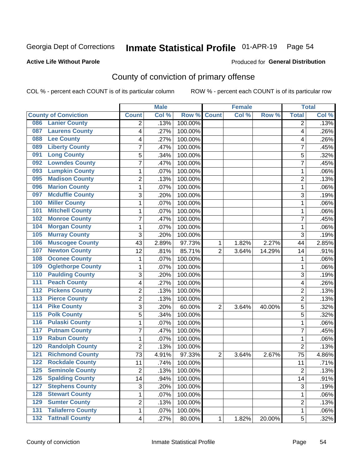#### Inmate Statistical Profile 01-APR-19 Page 54

#### **Active Life Without Parole**

#### Produced for General Distribution

### County of conviction of primary offense

COL % - percent each COUNT is of its particular column

|                                            |                | <b>Male</b> |         |                | <b>Female</b> |        |                | <b>Total</b> |
|--------------------------------------------|----------------|-------------|---------|----------------|---------------|--------|----------------|--------------|
| <b>County of Conviction</b>                | <b>Count</b>   | Col %       | Row %   | <b>Count</b>   | Col %         | Row %  | <b>Total</b>   | Col %        |
| <b>Lanier County</b><br>086                | 2              | .13%        | 100.00% |                |               |        | 2              | .13%         |
| <b>Laurens County</b><br>087               | 4              | .27%        | 100.00% |                |               |        | 4              | .26%         |
| <b>Lee County</b><br>088                   | 4              | .27%        | 100.00% |                |               |        | 4              | .26%         |
| <b>Liberty County</b><br>089               | 7              | .47%        | 100.00% |                |               |        | 7              | .45%         |
| <b>Long County</b><br>091                  | 5              | .34%        | 100.00% |                |               |        | 5              | .32%         |
| <b>Lowndes County</b><br>092               | 7              | .47%        | 100.00% |                |               |        | $\overline{7}$ | .45%         |
| <b>Lumpkin County</b><br>093               | 1              | .07%        | 100.00% |                |               |        | 1              | .06%         |
| <b>Madison County</b><br>095               | $\overline{2}$ | .13%        | 100.00% |                |               |        | $\overline{2}$ | .13%         |
| <b>Marion County</b><br>096                | 1              | .07%        | 100.00% |                |               |        | 1              | .06%         |
| <b>Mcduffie County</b><br>097              | 3              | .20%        | 100.00% |                |               |        | 3              | .19%         |
| <b>Miller County</b><br>100                | 1              | .07%        | 100.00% |                |               |        | 1              | .06%         |
| <b>Mitchell County</b><br>101              | 1              | .07%        | 100.00% |                |               |        | $\mathbf{1}$   | .06%         |
| <b>Monroe County</b><br>102                | 7              | .47%        | 100.00% |                |               |        | $\overline{7}$ | .45%         |
| <b>Morgan County</b><br>104                | 1              | .07%        | 100.00% |                |               |        | $\mathbf{1}$   | .06%         |
| <b>Murray County</b><br>105                | 3              | .20%        | 100.00% |                |               |        | 3              | .19%         |
| <b>Muscogee County</b><br>106              | 43             | 2.89%       | 97.73%  | 1              | 1.82%         | 2.27%  | 44             | 2.85%        |
| <b>Newton County</b><br>107                | 12             | .81%        | 85.71%  | $\overline{2}$ | 3.64%         | 14.29% | 14             | .91%         |
| <b>Oconee County</b><br>108                | 1              | .07%        | 100.00% |                |               |        | 1              | .06%         |
| <b>Oglethorpe County</b><br>109            | 1              | .07%        | 100.00% |                |               |        | $\mathbf{1}$   | .06%         |
| <b>Paulding County</b><br>110              | 3              | .20%        | 100.00% |                |               |        | 3              | .19%         |
| <b>Peach County</b><br>111                 | 4              | .27%        | 100.00% |                |               |        | 4              | .26%         |
| <b>Pickens County</b><br>$\overline{112}$  | $\overline{2}$ | .13%        | 100.00% |                |               |        | $\overline{2}$ | .13%         |
| 113<br><b>Pierce County</b>                | $\overline{2}$ | .13%        | 100.00% |                |               |        | $\overline{2}$ | .13%         |
| <b>Pike County</b><br>114                  | $\overline{3}$ | .20%        | 60.00%  | $\overline{2}$ | 3.64%         | 40.00% | 5              | .32%         |
| <b>Polk County</b><br>$\overline{115}$     | 5              | .34%        | 100.00% |                |               |        | 5              | .32%         |
| <b>Pulaski County</b><br>116               | 1              | .07%        | 100.00% |                |               |        | $\mathbf{1}$   | .06%         |
| <b>Putnam County</b><br>117                | 7              | .47%        | 100.00% |                |               |        | $\overline{7}$ | .45%         |
| <b>Rabun County</b><br>119                 | 1              | .07%        | 100.00% |                |               |        | $\mathbf{1}$   | .06%         |
| <b>Randolph County</b><br>120              | 2              | .13%        | 100.00% |                |               |        | $\overline{2}$ | .13%         |
| <b>Richmond County</b><br>121              | 73             | 4.91%       | 97.33%  | $\overline{2}$ | 3.64%         | 2.67%  | 75             | 4.86%        |
| <b>Rockdale County</b><br>122              | 11             | .74%        | 100.00% |                |               |        | 11             | .71%         |
| 125<br><b>Seminole County</b>              | 2              | .13%        | 100.00% |                |               |        | 2              | .13%         |
| <b>Spalding County</b><br>126              | 14             | .94%        | 100.00% |                |               |        | 14             | .91%         |
| <b>Stephens County</b><br>127              | 3              | .20%        | 100.00% |                |               |        | 3              | .19%         |
| <b>Stewart County</b><br>128               | 1              | .07%        | 100.00% |                |               |        | $\mathbf{1}$   | .06%         |
| <b>Sumter County</b><br>129                | $\overline{2}$ | .13%        | 100.00% |                |               |        | $\overline{2}$ | .13%         |
| <b>Taliaferro County</b><br>131            | 1              | .07%        | 100.00% |                |               |        | $\mathbf{1}$   | .06%         |
| <b>Tattnall County</b><br>$\overline{132}$ | 4              | .27%        | 80.00%  | 1              | 1.82%         | 20.00% | 5              | .32%         |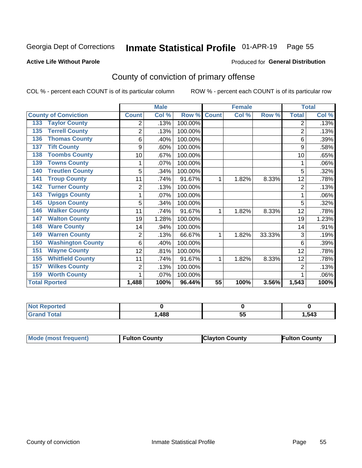## Inmate Statistical Profile 01-APR-19 Page 55

### **Active Life Without Parole**

#### Produced for General Distribution

## County of conviction of primary offense

COL % - percent each COUNT is of its particular column

|                                 |                | <b>Male</b> |         |              | <b>Female</b> |        |              | <b>Total</b> |
|---------------------------------|----------------|-------------|---------|--------------|---------------|--------|--------------|--------------|
| <b>County of Conviction</b>     | <b>Count</b>   | Col %       | Row %   | <b>Count</b> | Col %         | Row %  | <b>Total</b> | Col %        |
| <b>Taylor County</b><br>133     | 2              | .13%        | 100.00% |              |               |        | 2            | .13%         |
| <b>Terrell County</b><br>135    | $\overline{2}$ | .13%        | 100.00% |              |               |        | 2            | .13%         |
| <b>Thomas County</b><br>136     | 6              | .40%        | 100.00% |              |               |        | 6            | .39%         |
| <b>Tift County</b><br>137       | 9              | .60%        | 100.00% |              |               |        | 9            | .58%         |
| <b>Toombs County</b><br>138     | 10             | .67%        | 100.00% |              |               |        | 10           | .65%         |
| <b>Towns County</b><br>139      | 1              | .07%        | 100.00% |              |               |        |              | .06%         |
| <b>Treutlen County</b><br>140   | 5              | .34%        | 100.00% |              |               |        | 5            | .32%         |
| <b>Troup County</b><br>141      | 11             | .74%        | 91.67%  | 1            | 1.82%         | 8.33%  | 12           | .78%         |
| <b>Turner County</b><br>142     | $\overline{2}$ | .13%        | 100.00% |              |               |        | 2            | .13%         |
| <b>Twiggs County</b><br>143     | 1              | .07%        | 100.00% |              |               |        |              | .06%         |
| <b>Upson County</b><br>145      | 5              | .34%        | 100.00% |              |               |        | 5            | .32%         |
| <b>Walker County</b><br>146     | 11             | .74%        | 91.67%  | 1            | 1.82%         | 8.33%  | 12           | .78%         |
| <b>Walton County</b><br>147     | 19             | 1.28%       | 100.00% |              |               |        | 19           | 1.23%        |
| <b>Ware County</b><br>148       | 14             | .94%        | 100.00% |              |               |        | 14           | .91%         |
| <b>Warren County</b><br>149     | $\overline{2}$ | .13%        | 66.67%  | 1            | 1.82%         | 33.33% | 3            | .19%         |
| <b>Washington County</b><br>150 | 6              | .40%        | 100.00% |              |               |        | 6            | .39%         |
| <b>Wayne County</b><br>151      | 12             | .81%        | 100.00% |              |               |        | 12           | .78%         |
| <b>Whitfield County</b><br>155  | 11             | .74%        | 91.67%  | 1            | 1.82%         | 8.33%  | 12           | .78%         |
| <b>Wilkes County</b><br>157     | 2              | .13%        | 100.00% |              |               |        | 2            | .13%         |
| <b>Worth County</b><br>159      | 1              | .07%        | 100.00% |              |               |        |              | .06%         |
| <b>Total Rported</b>            | 1,488          | 100%        | 96.44%  | 55           | 100%          | 3.56%  | 1,543        | 100%         |

| vrret. |     |          |      |
|--------|-----|----------|------|
|        | 488 | --<br>J, | .543 |

| Mode (most frequent)<br><b>Clayton County</b><br>Fulton County<br><b>Fulton County</b> |
|----------------------------------------------------------------------------------------|
|----------------------------------------------------------------------------------------|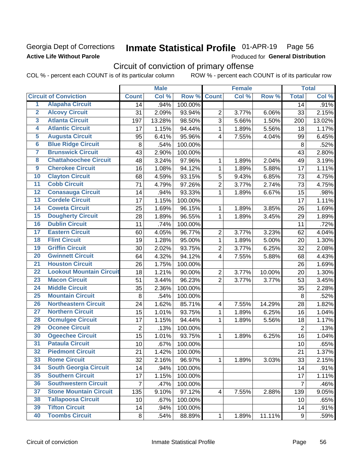### Georgia Dept of Corrections **Active Life Without Parole**

#### Inmate Statistical Profile 01-APR-19 Page 56

Produced for General Distribution

## Circuit of conviction of primary offense

COL % - percent each COUNT is of its particular column ROW % - percent each COUNT is of its particular row

|                         |                                 |                | <b>Male</b> |         |                         | <b>Female</b> |        |                  | <b>Total</b> |
|-------------------------|---------------------------------|----------------|-------------|---------|-------------------------|---------------|--------|------------------|--------------|
|                         | <b>Circuit of Conviction</b>    | <b>Count</b>   | Col %       | Row %   | <b>Count</b>            | Col %         | Row %  | <b>Total</b>     | Col %        |
| 1                       | <b>Alapaha Circuit</b>          | 14             | .94%        | 100.00% |                         |               |        | 14               | .91%         |
| $\overline{2}$          | <b>Alcovy Circuit</b>           | 31             | 2.09%       | 93.94%  | $\overline{2}$          | 3.77%         | 6.06%  | 33               | 2.15%        |
| $\overline{\mathbf{3}}$ | <b>Atlanta Circuit</b>          | 197            | 13.28%      | 98.50%  | 3                       | 5.66%         | 1.50%  | 200              | 13.02%       |
| 4                       | <b>Atlantic Circuit</b>         | 17             | 1.15%       | 94.44%  | $\mathbf{1}$            | 1.89%         | 5.56%  | 18               | 1.17%        |
| $\overline{5}$          | <b>Augusta Circuit</b>          | 95             | 6.41%       | 95.96%  | $\overline{4}$          | 7.55%         | 4.04%  | 99               | 6.45%        |
| $\overline{6}$          | <b>Blue Ridge Circuit</b>       | 8              | .54%        | 100.00% |                         |               |        | $\,8\,$          | .52%         |
| 7                       | <b>Brunswick Circuit</b>        | 43             | 2.90%       | 100.00% |                         |               |        | 43               | 2.80%        |
| 8                       | <b>Chattahoochee Circuit</b>    | 48             | 3.24%       | 97.96%  | 1                       | 1.89%         | 2.04%  | 49               | 3.19%        |
| $\overline{9}$          | <b>Cherokee Circuit</b>         | 16             | 1.08%       | 94.12%  | 1                       | 1.89%         | 5.88%  | 17               | 1.11%        |
| 10                      | <b>Clayton Circuit</b>          | 68             | 4.59%       | 93.15%  | 5                       | 9.43%         | 6.85%  | 73               | 4.75%        |
| $\overline{11}$         | <b>Cobb Circuit</b>             | 71             | 4.79%       | 97.26%  | $\overline{2}$          | 3.77%         | 2.74%  | 73               | 4.75%        |
| $\overline{12}$         | <b>Conasauga Circuit</b>        | 14             | .94%        | 93.33%  | $\mathbf{1}$            | 1.89%         | 6.67%  | 15               | .98%         |
| $\overline{13}$         | <b>Cordele Circuit</b>          | 17             | 1.15%       | 100.00% |                         |               |        | 17               | 1.11%        |
| $\overline{14}$         | <b>Coweta Circuit</b>           | 25             | 1.69%       | 96.15%  | $\mathbf{1}$            | 1.89%         | 3.85%  | 26               | 1.69%        |
| $\overline{15}$         | <b>Dougherty Circuit</b>        | 28             | 1.89%       | 96.55%  | $\mathbf{1}$            | 1.89%         | 3.45%  | 29               | 1.89%        |
| 16                      | <b>Dublin Circuit</b>           | 11             | .74%        | 100.00% |                         |               |        | 11               | .72%         |
| $\overline{17}$         | <b>Eastern Circuit</b>          | 60             | 4.05%       | 96.77%  | $\overline{2}$          | 3.77%         | 3.23%  | 62               | 4.04%        |
| $\overline{18}$         | <b>Flint Circuit</b>            | 19             | 1.28%       | 95.00%  | $\mathbf{1}$            | 1.89%         | 5.00%  | 20               | 1.30%        |
| 19                      | <b>Griffin Circuit</b>          | 30             | 2.02%       | 93.75%  | $\overline{2}$          | 3.77%         | 6.25%  | 32               | 2.08%        |
| 20                      | <b>Gwinnett Circuit</b>         | 64             | 4.32%       | 94.12%  | $\overline{4}$          | 7.55%         | 5.88%  | 68               | 4.43%        |
| $\overline{21}$         | <b>Houston Circuit</b>          | 26             | 1.75%       | 100.00% |                         |               |        | 26               | 1.69%        |
| $\overline{22}$         | <b>Lookout Mountain Circuit</b> | 18             | 1.21%       | 90.00%  | $\overline{2}$          | 3.77%         | 10.00% | 20               | 1.30%        |
| 23                      | <b>Macon Circuit</b>            | 51             | 3.44%       | 96.23%  | $\overline{2}$          | 3.77%         | 3.77%  | 53               | 3.45%        |
| 24                      | <b>Middle Circuit</b>           | 35             | 2.36%       | 100.00% |                         |               |        | 35               | 2.28%        |
| $\overline{25}$         | <b>Mountain Circuit</b>         | 8              | .54%        | 100.00% |                         |               |        | 8                | .52%         |
| 26                      | <b>Northeastern Circuit</b>     | 24             | 1.62%       | 85.71%  | $\overline{\mathbf{4}}$ | 7.55%         | 14.29% | 28               | 1.82%        |
| $\overline{27}$         | <b>Northern Circuit</b>         | 15             | 1.01%       | 93.75%  | 1                       | 1.89%         | 6.25%  | 16               | 1.04%        |
| 28                      | <b>Ocmulgee Circuit</b>         | 17             | 1.15%       | 94.44%  | 1                       | 1.89%         | 5.56%  | 18               | 1.17%        |
| 29                      | <b>Oconee Circuit</b>           | $\overline{2}$ | .13%        | 100.00% |                         |               |        | $\overline{2}$   | .13%         |
| 30                      | <b>Ogeechee Circuit</b>         | 15             | 1.01%       | 93.75%  | 1                       | 1.89%         | 6.25%  | 16               | 1.04%        |
| $\overline{31}$         | <b>Pataula Circuit</b>          | 10             | .67%        | 100.00% |                         |               |        | 10               | .65%         |
| 32                      | <b>Piedmont Circuit</b>         | 21             | 1.42%       | 100.00% |                         |               |        | 21               | 1.37%        |
| 33                      | <b>Rome Circuit</b>             | 32             | 2.16%       | 96.97%  | $\mathbf 1$             | 1.89%         | 3.03%  | 33               | 2.15%        |
| 34                      | <b>South Georgia Circuit</b>    | 14             | .94%        | 100.00% |                         |               |        | 14               | .91%         |
| 35                      | <b>Southern Circuit</b>         | 17             | 1.15%       | 100.00% |                         |               |        | 17               | 1.11%        |
| 36                      | <b>Southwestern Circuit</b>     | $\overline{7}$ | .47%        | 100.00% |                         |               |        | $\overline{7}$   | .46%         |
| 37                      | <b>Stone Mountain Circuit</b>   | 135            | 9.10%       | 97.12%  | 4                       | 7.55%         | 2.88%  | 139              | 9.05%        |
| 38                      | <b>Tallapoosa Circuit</b>       | 10             | .67%        | 100.00% |                         |               |        | 10               | .65%         |
| 39                      | <b>Tifton Circuit</b>           | 14             | .94%        | 100.00% |                         |               |        | 14               | .91%         |
| 40                      | <b>Toombs Circuit</b>           | 8              | .54%        | 88.89%  | $\mathbf{1}$            | 1.89%         | 11.11% | $\boldsymbol{9}$ | .59%         |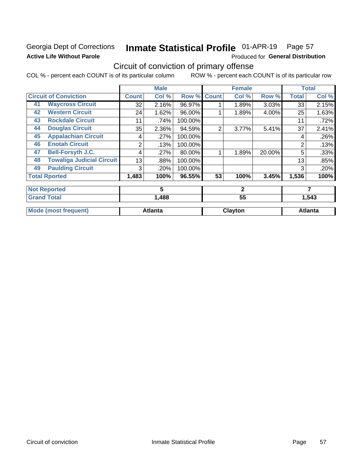### Georgia Dept of Corrections **Active Life Without Parole**

#### Inmate Statistical Profile 01-APR-19 Page 57

Produced for General Distribution

## Circuit of conviction of primary offense

COL % - percent each COUNT is of its particular column ROW % - percent each COUNT is of its particular row

|    |                                  |              | <b>Male</b>    |         |                | <b>Female</b> |        |              | <b>Total</b>   |
|----|----------------------------------|--------------|----------------|---------|----------------|---------------|--------|--------------|----------------|
|    | <b>Circuit of Conviction</b>     | <b>Count</b> | Col %          | Row %   | <b>Count</b>   | Col %         | Row %  | <b>Total</b> | Col %          |
| 41 | <b>Waycross Circuit</b>          | 32           | 2.16%          | 96.97%  |                | 1.89%         | 3.03%  | 33           | 2.15%          |
| 42 | <b>Western Circuit</b>           | 24           | 1.62%          | 96.00%  |                | 1.89%         | 4.00%  | 25           | 1.63%          |
| 43 | <b>Rockdale Circuit</b>          | 11           | .74%           | 100.00% |                |               |        | 11           | .72%           |
| 44 | <b>Douglas Circuit</b>           | 35           | 2.36%          | 94.59%  | $\overline{2}$ | 3.77%         | 5.41%  | 37           | 2.41%          |
| 45 | <b>Appalachian Circuit</b>       | 4            | .27%           | 100.00% |                |               |        | 4            | .26%           |
| 46 | <b>Enotah Circuit</b>            | 2            | .13%           | 100.00% |                |               |        | 2            | .13%           |
| 47 | <b>Bell-Forsyth J.C.</b>         | 4            | .27%           | 80.00%  |                | 1.89%         | 20.00% | 5            | .33%           |
| 48 | <b>Towaliga Judicial Circuit</b> | 13           | .88%           | 100.00% |                |               |        | 13           | .85%           |
| 49 | <b>Paulding Circuit</b>          | 3            | .20%           | 100.00% |                |               |        | 3            | .20%           |
|    | <b>Total Rported</b>             | 1,483        | 100%           | 96.55%  | 53             | 100%          | 3.45%  | 1,536        | 100%           |
|    | <b>Not Reported</b>              |              | 5              |         |                | $\mathbf{2}$  |        |              | 7              |
|    | <b>Grand Total</b>               |              | 1,488          |         |                | 55            |        |              | 1,543          |
|    | <b>Mode (most frequent)</b>      |              | <b>Atlanta</b> |         |                | Clayton       |        |              | <b>Atlanta</b> |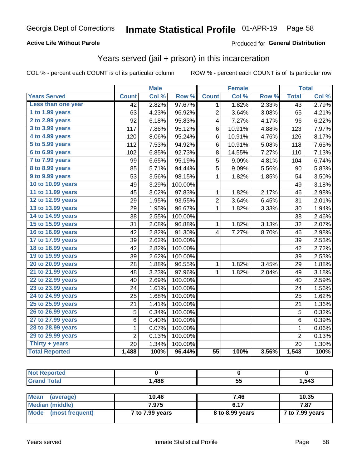### **Active Life Without Parole**

### Produced for General Distribution

### Years served (jail + prison) in this incarceration

COL % - percent each COUNT is of its particular column

|                        |                 | <b>Male</b> |                  |                 | <b>Female</b> |       |                 | <b>Total</b> |
|------------------------|-----------------|-------------|------------------|-----------------|---------------|-------|-----------------|--------------|
| <b>Years Served</b>    | <b>Count</b>    | Col %       | Row <sup>%</sup> | <b>Count</b>    | Col %         | Row % | <b>Total</b>    | Col %        |
| Less than one year     | $\overline{42}$ | 2.82%       | 97.67%           | 1               | 1.82%         | 2.33% | $\overline{43}$ | 2.79%        |
| 1 to 1.99 years        | 63              | 4.23%       | 96.92%           | $\overline{2}$  | 3.64%         | 3.08% | 65              | 4.21%        |
| 2 to 2.99 years        | 92              | 6.18%       | 95.83%           | 4               | 7.27%         | 4.17% | 96              | 6.22%        |
| 3 to 3.99 years        | 117             | 7.86%       | 95.12%           | 6               | 10.91%        | 4.88% | 123             | 7.97%        |
| 4 to 4.99 years        | 120             | 8.06%       | 95.24%           | 6               | 10.91%        | 4.76% | 126             | 8.17%        |
| 5 to 5.99 years        | 112             | 7.53%       | 94.92%           | 6               | 10.91%        | 5.08% | 118             | 7.65%        |
| 6 to 6.99 years        | 102             | 6.85%       | 92.73%           | 8               | 14.55%        | 7.27% | 110             | 7.13%        |
| 7 to 7.99 years        | 99              | 6.65%       | 95.19%           | 5               | 9.09%         | 4.81% | 104             | 6.74%        |
| <b>8 to 8.99 years</b> | 85              | 5.71%       | 94.44%           | 5               | 9.09%         | 5.56% | 90              | 5.83%        |
| 9 to 9.99 years        | 53              | 3.56%       | 98.15%           | $\mathbf 1$     | 1.82%         | 1.85% | 54              | 3.50%        |
| 10 to 10.99 years      | 49              | 3.29%       | 100.00%          |                 |               |       | 49              | 3.18%        |
| 11 to 11.99 years      | 45              | 3.02%       | 97.83%           | 1               | 1.82%         | 2.17% | 46              | 2.98%        |
| 12 to 12.99 years      | 29              | 1.95%       | 93.55%           | 2               | 3.64%         | 6.45% | 31              | 2.01%        |
| 13 to 13.99 years      | 29              | 1.95%       | 96.67%           | 1               | 1.82%         | 3.33% | 30              | 1.94%        |
| 14 to 14.99 years      | 38              | 2.55%       | 100.00%          |                 |               |       | 38              | 2.46%        |
| 15 to 15.99 years      | 31              | 2.08%       | 96.88%           | 1               | 1.82%         | 3.13% | 32              | 2.07%        |
| 16 to 16.99 years      | 42              | 2.82%       | 91.30%           | 4               | 7.27%         | 8.70% | 46              | 2.98%        |
| 17 to 17.99 years      | 39              | 2.62%       | 100.00%          |                 |               |       | 39              | 2.53%        |
| 18 to 18.99 years      | 42              | 2.82%       | 100.00%          |                 |               |       | 42              | 2.72%        |
| 19 to 19.99 years      | 39              | 2.62%       | 100.00%          |                 |               |       | 39              | 2.53%        |
| 20 to 20.99 years      | 28              | 1.88%       | 96.55%           | 1               | 1.82%         | 3.45% | 29              | 1.88%        |
| 21 to 21.99 years      | 48              | 3.23%       | 97.96%           | 1               | 1.82%         | 2.04% | 49              | 3.18%        |
| 22 to 22.99 years      | 40              | 2.69%       | 100.00%          |                 |               |       | 40              | 2.59%        |
| 23 to 23.99 years      | 24              | 1.61%       | 100.00%          |                 |               |       | 24              | 1.56%        |
| 24 to 24.99 years      | 25              | 1.68%       | 100.00%          |                 |               |       | 25              | 1.62%        |
| 25 to 25.99 years      | 21              | 1.41%       | 100.00%          |                 |               |       | 21              | 1.36%        |
| 26 to 26.99 years      | 5               | 0.34%       | 100.00%          |                 |               |       | 5               | 0.32%        |
| 27 to 27.99 years      | 6               | 0.40%       | 100.00%          |                 |               |       | $\,6$           | 0.39%        |
| 28 to 28.99 years      | 1               | 0.07%       | 100.00%          |                 |               |       | 1               | 0.06%        |
| 29 to 29.99 years      | $\overline{2}$  | 0.13%       | 100.00%          |                 |               |       | $\overline{2}$  | 0.13%        |
| Thirty + years         | 20              | 1.34%       | 100.00%          |                 |               |       | 20              | 1.30%        |
| <b>Total Reported</b>  | 1,488           | 100%        | 96.44%           | $\overline{55}$ | 100%          | 3.56% | 1,543           | 100%         |

| <b>Not Reported</b> |       |    |       |
|---------------------|-------|----|-------|
| <b>Grand Total</b>  | 1,488 | 55 | 1,543 |
|                     |       |    |       |

| <b>Mean</b><br>(average) | 10.46           | 7.46            | 10.35           |
|--------------------------|-----------------|-----------------|-----------------|
| Median (middle)          | 7.975           | 6.17            | 7.87            |
| Mode (most frequent)     | 7 to 7.99 years | 8 to 8.99 years | 7 to 7.99 years |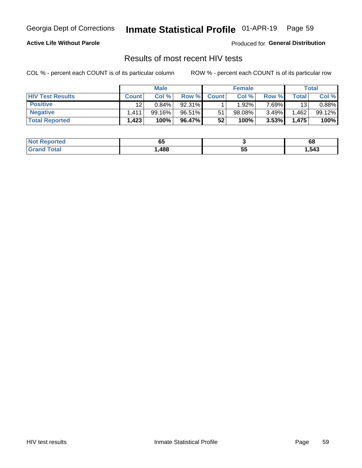#### Inmate Statistical Profile 01-APR-19 Page 59

### **Active Life Without Parole**

Produced for General Distribution

### Results of most recent HIV tests

COL % - percent each COUNT is of its particular column

|                         | <b>Male</b>     |           |        | <b>Female</b> |          |          | Total       |        |
|-------------------------|-----------------|-----------|--------|---------------|----------|----------|-------------|--------|
| <b>HIV Test Results</b> | <b>Count</b>    | Col %     | Row %I | <b>Count</b>  | Col %    | Row %    | $\tau$ otal | Col %  |
| <b>Positive</b>         | 12 <sup>2</sup> | $0.84\%$  | 92.31% |               | $1.92\%$ | $7.69\%$ | 13          | 0.88%  |
| <b>Negative</b>         | .411            | $99.16\%$ | 96.51% | 51            | 98.08%   | $3.49\%$ | .462        | 99.12% |
| <b>Total Reported</b>   | ,423            | 100%      | 96.47% | 52            | 100%     | 3.53%    | 1,475       | 100%   |

| <b>Not Reported</b>  | . .<br>uj |         | 68     |
|----------------------|-----------|---------|--------|
| <b>Total</b><br>Gr2r | ,488      | 長長<br>◡ | 543, ا |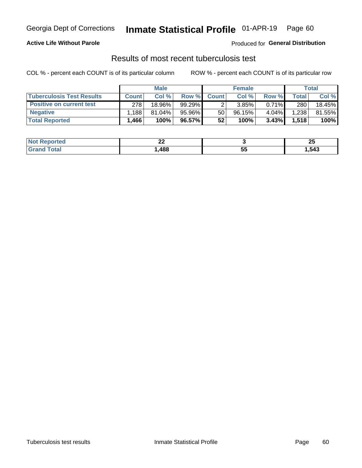## Georgia Dept of Corrections **Inmate Statistical Profile** 01-APR-19 Page 60

### **Active Life Without Parole**

Produced for **General Distribution**

## Results of most recent tuberculosis test

COL % - percent each COUNT is of its particular column ROW % - percent each COUNT is of its particular row

|                                  | <b>Male</b>  |           |           | <b>Female</b> |        |          | Total        |        |
|----------------------------------|--------------|-----------|-----------|---------------|--------|----------|--------------|--------|
| <b>Tuberculosis Test Results</b> | <b>Count</b> | Col %     | Row %I    | <b>Count</b>  | Col %  | Row %    | <b>Total</b> | Col %  |
| <b>Positive on current test</b>  | 278          | 18.96%    | $99.29\%$ |               | 3.85%  | $0.71\%$ | 280          | 18.45% |
| <b>Negative</b>                  | .188         | $81.04\%$ | 95.96%    | 50            | 96.15% | 4.04%    | 1,238        | 81.55% |
| <b>Total Reported</b>            | .466         | 100%      | 96.57%    | 52            | 100%   | $3.43\%$ | 1,518        | 100%   |

| <b>Not Reported</b> | n,<br>-- |    | ሳር<br>~ |
|---------------------|----------|----|---------|
| <b>Total</b><br>.C. | ,488     | JJ | 1,543   |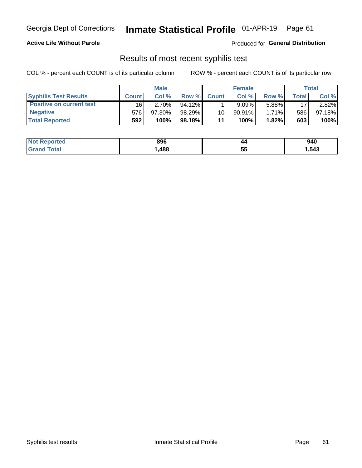## Georgia Dept of Corrections **Inmate Statistical Profile** 01-APR-19 Page 61

### **Active Life Without Parole**

Produced for **General Distribution**

### Results of most recent syphilis test

COL % - percent each COUNT is of its particular column ROW % - percent each COUNT is of its particular row

|                                 | <b>Male</b>  |           |           | <b>Female</b> |           |          | Total        |        |
|---------------------------------|--------------|-----------|-----------|---------------|-----------|----------|--------------|--------|
| <b>Syphilis Test Results</b>    | <b>Count</b> | Col%      | Row %I    | <b>Count</b>  | Col%      | Row %    | <b>Total</b> | Col %  |
| <b>Positive on current test</b> | 16           | 2.70%     | $94.12\%$ |               | 9.09%     | 5.88%    | 17           | 2.82%  |
| <b>Negative</b>                 | 576'         | $97.30\%$ | 98.29%    | 10            | $90.91\%$ | $1.71\%$ | 586          | 97.18% |
| <b>Total Reported</b>           | 592          | 100%      | 98.18% I  | 11            | 100%      | $1.82\%$ | 603          | 100%   |

| <b>Not Reported</b> | 896  | 44       | 940    |
|---------------------|------|----------|--------|
| Total               | ,488 | --<br>ວວ | 543. ا |